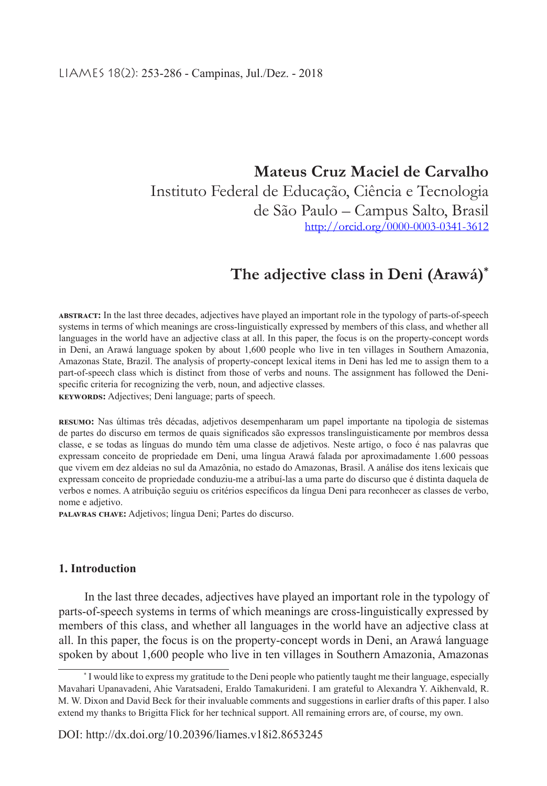**Mateus Cruz Maciel de Carvalho** Instituto Federal de Educação, Ciência e Tecnologia de São Paulo – Campus Salto, Brasil http://orcid.org/0000-0003-0341-3612

# **The adjective class in Deni (Arawá)\***

**abstract:** In the last three decades, adjectives have played an important role in the typology of parts-of-speech systems in terms of which meanings are cross-linguistically expressed by members of this class, and whether all languages in the world have an adjective class at all. In this paper, the focus is on the property-concept words in Deni, an Arawá language spoken by about 1,600 people who live in ten villages in Southern Amazonia, Amazonas State, Brazil. The analysis of property-concept lexical items in Deni has led me to assign them to a part-of-speech class which is distinct from those of verbs and nouns. The assignment has followed the Denispecific criteria for recognizing the verb, noun, and adjective classes. **keywords:** Adjectives; Deni language; parts of speech.

**resumo:** Nas últimas três décadas, adjetivos desempenharam um papel importante na tipologia de sistemas de partes do discurso em termos de quais significados são expressos translinguisticamente por membros dessa classe, e se todas as línguas do mundo têm uma classe de adjetivos. Neste artigo, o foco é nas palavras que expressam conceito de propriedade em Deni, uma língua Arawá falada por aproximadamente 1.600 pessoas que vivem em dez aldeias no sul da Amazônia, no estado do Amazonas, Brasil. A análise dos itens lexicais que expressam conceito de propriedade conduziu-me a atribuí-las a uma parte do discurso que é distinta daquela de verbos e nomes. A atribuição seguiu os critérios específicos da língua Deni para reconhecer as classes de verbo, nome e adjetivo.

**palavras chave:** Adjetivos; língua Deni; Partes do discurso.

#### **1. Introduction**

In the last three decades, adjectives have played an important role in the typology of parts-of-speech systems in terms of which meanings are cross-linguistically expressed by members of this class, and whether all languages in the world have an adjective class at all. In this paper, the focus is on the property-concept words in Deni, an Arawá language spoken by about 1,600 people who live in ten villages in Southern Amazonia, Amazonas

<sup>\*</sup> I would like to express my gratitude to the Deni people who patiently taught me their language, especially Mavahari Upanavadeni, Ahie Varatsadeni, Eraldo Tamakurideni. I am grateful to Alexandra Y. Aikhenvald, R. M. W. Dixon and David Beck for their invaluable comments and suggestions in earlier drafts of this paper. I also extend my thanks to Brigitta Flick for her technical support. All remaining errors are, of course, my own.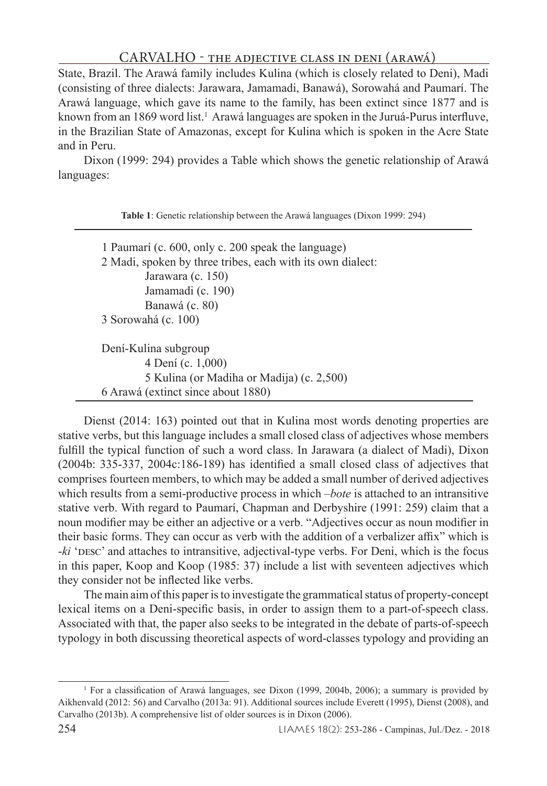State, Brazil. The Arawá family includes Kulina (which is closely related to Deni), Madi (consisting of three dialects: Jarawara, Jamamadi, Banawá), Sorowahá and Paumarí. The Arawá language, which gave its name to the family, has been extinct since 1877 and is known from an 1869 word list.<sup>1</sup> Arawá languages are spoken in the Juruá-Purus interfluve, in the Brazilian State of Amazonas, except for Kulina which is spoken in the Acre State and in Peru.

Dixon (1999: 294) provides a Table which shows the genetic relationship of Arawá languages:

**Table 1**: Genetic relationship between the Arawá languages (Dixon 1999: 294)

 1 Paumarí (c. 600, only c. 200 speak the language) 2 Madi, spoken by three tribes, each with its own dialect: Jarawara (c. 150) Jamamadi (c. 190) Banawá (c. 80) 3 Sorowahá (c. 100) Dení-Kulina subgroup 4 Dení (c. 1,000) 5 Kulina (or Madiha or Madija) (c. 2,500) 6 Arawá (extinct since about 1880)

Dienst (2014: 163) pointed out that in Kulina most words denoting properties are stative verbs, but this language includes a small closed class of adjectives whose members fulfill the typical function of such a word class. In Jarawara (a dialect of Madi), Dixon (2004b: 335-337, 2004c:186-189) has identified a small closed class of adjectives that comprises fourteen members, to which may be added a small number of derived adjectives which results from a semi-productive process in which –*bote* is attached to an intransitive stative verb. With regard to Paumarí, Chapman and Derbyshire (1991: 259) claim that a noun modifier may be either an adjective or a verb. "Adjectives occur as noun modifier in their basic forms. They can occur as verb with the addition of a verbalizer affix" which is -ki 'DESC' and attaches to intransitive, adjectival-type verbs. For Deni, which is the focus in this paper, Koop and Koop (1985: 37) include a list with seventeen adjectives which they consider not be inflected like verbs.

The main aim of this paper is to investigate the grammatical status of property-concept lexical items on a Deni-specific basis, in order to assign them to a part-of-speech class. Associated with that, the paper also seeks to be integrated in the debate of parts-of-speech typology in both discussing theoretical aspects of word-classes typology and providing an

<sup>1</sup> For a classification of Arawá languages, see Dixon (1999, 2004b, 2006); a summary is provided by Aikhenvald (2012: 56) and Carvalho (2013a: 91). Additional sources include Everett (1995), Dienst (2008), and Carvalho (2013b). A comprehensive list of older sources is in Dixon (2006).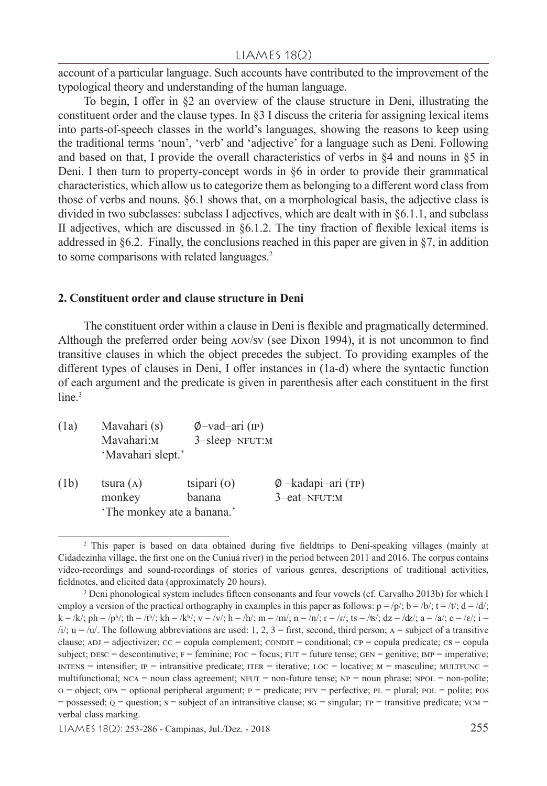#### LIAMES 18(2)

account of a particular language. Such accounts have contributed to the improvement of the typological theory and understanding of the human language.

To begin, I offer in §2 an overview of the clause structure in Deni, illustrating the constituent order and the clause types. In §3 I discuss the criteria for assigning lexical items into parts-of-speech classes in the world's languages, showing the reasons to keep using the traditional terms 'noun', 'verb' and 'adjective' for a language such as Deni. Following and based on that, I provide the overall characteristics of verbs in §4 and nouns in §5 in Deni. I then turn to property-concept words in §6 in order to provide their grammatical characteristics, which allow us to categorize them as belonging to a different word class from those of verbs and nouns. §6.1 shows that, on a morphological basis, the adjective class is divided in two subclasses: subclass I adjectives, which are dealt with in §6.1.1, and subclass II adjectives, which are discussed in §6.1.2. The tiny fraction of flexible lexical items is addressed in §6.2. Finally, the conclusions reached in this paper are given in  $\S7$ , in addition to some comparisons with related languages.<sup>2</sup>

#### **2. Constituent order and clause structure in Deni**

The constituent order within a clause in Deni is flexible and pragmatically determined. Although the preferred order being aov/sv (see Dixon 1994), it is not uncommon to find transitive clauses in which the object precedes the subject. To providing examples of the different types of clauses in Deni, I offer instances in (1a-d) where the syntactic function of each argument and the predicate is given in parenthesis after each constituent in the first line.<sup>3</sup>

- (1a) Mavahari (s) Ø-vad–ari (IP)<br>Mavahari: Mavahari: 3-sleen–NFUT: 3-sleep-NFUT:M 'Mavahari slept.'
- (1b) tsura (A) tsipari (O) Ø –kadapi–ari (TP)<br>monkey banana 3–eat–NFUT:M 3–eat–nfut:m 'The monkey ate a banana.'

<sup>&</sup>lt;sup>2</sup> This paper is based on data obtained during five fieldtrips to Deni-speaking villages (mainly at Cidadezinha village, the first one on the Cuniuá river) in the period between 2011 and 2016. The corpus contains video-recordings and sound-recordings of stories of various genres, descriptions of traditional activities, fieldnotes, and elicited data (approximately 20 hours).

<sup>&</sup>lt;sup>3</sup> Deni phonological system includes fifteen consonants and four vowels (cf. Carvalho 2013b) for which I employ a version of the practical orthography in examples in this paper as follows:  $p = /p$ ;  $b = /b$ ;  $t = /t$ ;  $d = /d$ ;  $k = /k/$ ;  $ph = /ph/$ ;  $th = /t^{h/}$ ;  $kh = /k^{h/}$ ;  $v = /v/$ ;  $h = /h/$ ;  $m = /m/$ ;  $n = /n/$ ;  $t = /r/$ ;  $ts = /ts/$ ;  $dz = /dz/$ ;  $a = /a/$ ;  $e = /e/$ ;  $i =$  $\lambda i$ ;  $u = \lambda u$ . The following abbreviations are used: 1, 2, 3 = first, second, third person; A = subject of a transitive clause;  $ADJ = \text{ad}\text{jectivizer}$ ;  $CC = \text{copula complement}$ ;  $\text{COMDT} = \text{conditional}$ ;  $CP = \text{copula predicate}$ ;  $CS = \text{copula}$ subject;  $DESC =$  descontinutive;  $F =$  feminine;  $FOC =$  focus;  $FUT =$  future tense;  $GEN =$  genitive;  $IMP =$  imperative;  $in terms =$  intensifier;  $IP =$  intransitive predicate;  $ITER =$  iterative;  $LOC =$  locative;  $M =$  masculine;  $MULTFUNC =$ multifunctional;  $NCA = noun$  class agreement;  $NFUT = non-fulture$  tense;  $NP = noun$  phrase;  $NPOL = non-polite$ ;  $o = object$ ; opa = optional peripheral argument;  $p = predicate$ ;  $prv = perfective$ ;  $pL = plural$ ;  $pOL = police$ ;  $pos$  $=$  possessed;  $q =$  question;  $s =$  subject of an intransitive clause;  $sq =$  singular;  $rp =$  transitive predicate;  $vcm =$ verbal class marking.

LIAMES 18(2): 253-286 - Campinas, Jul./Dez. - 2018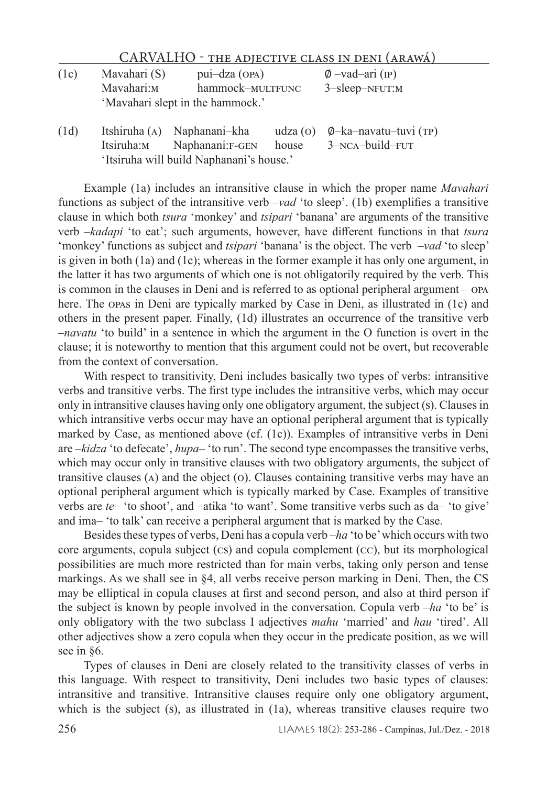| (1c) | Mavahari (S) | $pui-dza$ (OPA)                  | $\varnothing$ -vad-ari (IP) |
|------|--------------|----------------------------------|-----------------------------|
|      | Mavahari:м   | hammock-MULTFUNC                 | $3$ -sleep-NFUT:M           |
|      |              | 'Mavahari slept in the hammock.' |                             |

(1d) Itshiruha (a) Naphanani–kha udza (o) ∅–ka–navatu–tuvi (tp) Naphanani:F-GEN 'Itsiruha will build Naphanani's house.'

Example (1a) includes an intransitive clause in which the proper name *Mavahari* functions as subject of the intransitive verb –*vad* 'to sleep'. (1b) exemplifies a transitive clause in which both *tsura* 'monkey' and *tsipari* 'banana' are arguments of the transitive verb –*kadapi* 'to eat'; such arguments, however, have different functions in that *tsura* 'monkey' functions as subject and *tsipari* 'banana' is the object. The verb –*vad* 'to sleep' is given in both (1a) and (1c); whereas in the former example it has only one argument, in the latter it has two arguments of which one is not obligatorily required by the verb. This is common in the clauses in Deni and is referred to as optional peripheral argument – opa here. The opas in Deni are typically marked by Case in Deni, as illustrated in (1c) and others in the present paper. Finally, (1d) illustrates an occurrence of the transitive verb –*navatu* 'to build' in a sentence in which the argument in the O function is overt in the clause; it is noteworthy to mention that this argument could not be overt, but recoverable from the context of conversation.

With respect to transitivity, Deni includes basically two types of verbs: intransitive verbs and transitive verbs. The first type includes the intransitive verbs, which may occur only in intransitive clauses having only one obligatory argument, the subject (s). Clauses in which intransitive verbs occur may have an optional peripheral argument that is typically marked by Case, as mentioned above (cf. (1c)). Examples of intransitive verbs in Deni are –*kidza* 'to defecate', *hupa*– 'to run'. The second type encompasses the transitive verbs, which may occur only in transitive clauses with two obligatory arguments, the subject of transitive clauses  $(A)$  and the object  $(O)$ . Clauses containing transitive verbs may have an optional peripheral argument which is typically marked by Case. Examples of transitive verbs are *te*– 'to shoot', and –atika 'to want'. Some transitive verbs such as da– 'to give' and ima– 'to talk' can receive a peripheral argument that is marked by the Case.

Besides these types of verbs, Deni has a copula verb –*ha* 'to be' which occurs with two core arguments, copula subject (cs) and copula complement (cc), but its morphological possibilities are much more restricted than for main verbs, taking only person and tense markings. As we shall see in §4, all verbs receive person marking in Deni. Then, the CS may be elliptical in copula clauses at first and second person, and also at third person if the subject is known by people involved in the conversation. Copula verb –*ha* 'to be' is only obligatory with the two subclass I adjectives *mahu* 'married' and *hau* 'tired'. All other adjectives show a zero copula when they occur in the predicate position, as we will see in §6.

Types of clauses in Deni are closely related to the transitivity classes of verbs in this language. With respect to transitivity, Deni includes two basic types of clauses: intransitive and transitive. Intransitive clauses require only one obligatory argument, which is the subject (s), as illustrated in (1a), whereas transitive clauses require two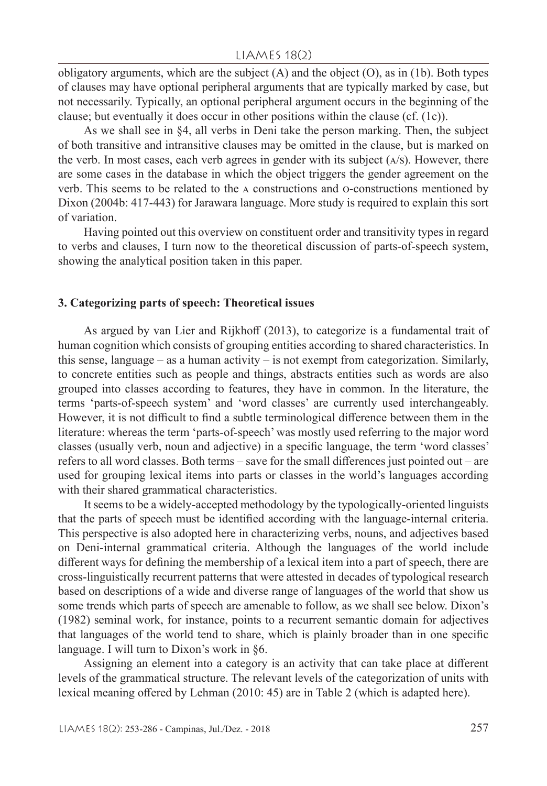obligatory arguments, which are the subject (A) and the object (O), as in (1b). Both types of clauses may have optional peripheral arguments that are typically marked by case, but not necessarily. Typically, an optional peripheral argument occurs in the beginning of the clause; but eventually it does occur in other positions within the clause (cf. (1c)).

As we shall see in §4, all verbs in Deni take the person marking. Then, the subject of both transitive and intransitive clauses may be omitted in the clause, but is marked on the verb. In most cases, each verb agrees in gender with its subject  $(A/S)$ . However, there are some cases in the database in which the object triggers the gender agreement on the verb. This seems to be related to the a constructions and o-constructions mentioned by Dixon (2004b: 417-443) for Jarawara language. More study is required to explain this sort of variation.

Having pointed out this overview on constituent order and transitivity types in regard to verbs and clauses, I turn now to the theoretical discussion of parts-of-speech system, showing the analytical position taken in this paper.

#### **3. Categorizing parts of speech: Theoretical issues**

As argued by van Lier and Rijkhoff (2013), to categorize is a fundamental trait of human cognition which consists of grouping entities according to shared characteristics. In this sense, language – as a human activity – is not exempt from categorization. Similarly, to concrete entities such as people and things, abstracts entities such as words are also grouped into classes according to features, they have in common. In the literature, the terms 'parts-of-speech system' and 'word classes' are currently used interchangeably. However, it is not difficult to find a subtle terminological difference between them in the literature: whereas the term 'parts-of-speech' was mostly used referring to the major word classes (usually verb, noun and adjective) in a specific language, the term 'word classes' refers to all word classes. Both terms – save for the small differences just pointed out – are used for grouping lexical items into parts or classes in the world's languages according with their shared grammatical characteristics.

It seems to be a widely-accepted methodology by the typologically-oriented linguists that the parts of speech must be identified according with the language-internal criteria. This perspective is also adopted here in characterizing verbs, nouns, and adjectives based on Deni-internal grammatical criteria. Although the languages of the world include different ways for defining the membership of a lexical item into a part of speech, there are cross-linguistically recurrent patterns that were attested in decades of typological research based on descriptions of a wide and diverse range of languages of the world that show us some trends which parts of speech are amenable to follow, as we shall see below. Dixon's (1982) seminal work, for instance, points to a recurrent semantic domain for adjectives that languages of the world tend to share, which is plainly broader than in one specific language. I will turn to Dixon's work in §6.

Assigning an element into a category is an activity that can take place at different levels of the grammatical structure. The relevant levels of the categorization of units with lexical meaning offered by Lehman (2010: 45) are in Table 2 (which is adapted here).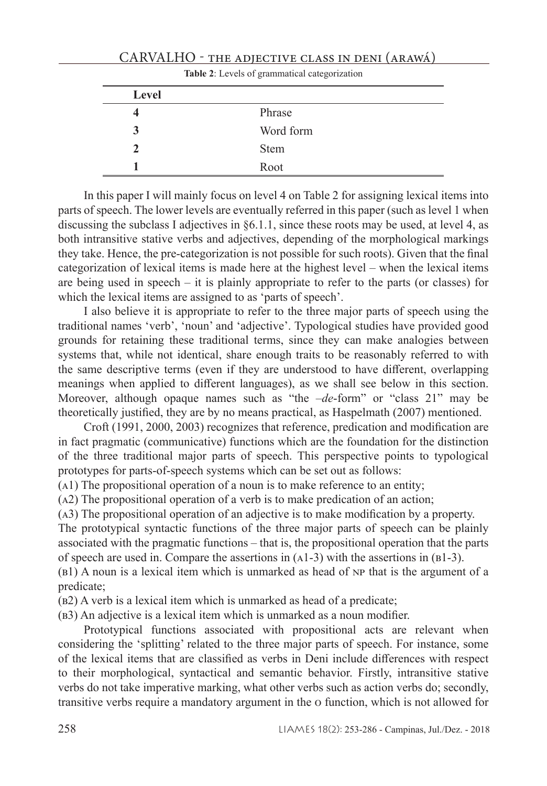|               | <b>Table 2:</b> Levels of grammatical categorization |  |  |  |
|---------------|------------------------------------------------------|--|--|--|
| Level         |                                                      |  |  |  |
|               | Phrase                                               |  |  |  |
|               | Word form                                            |  |  |  |
| $\mathcal{L}$ | <b>Stem</b>                                          |  |  |  |
|               | Root                                                 |  |  |  |

### CARVALHO - THE ADIECTIVE CLASS IN DENI (ARAWÁ)

|  |  | <b>Table 2:</b> Levels of grammatical categorization |
|--|--|------------------------------------------------------|
|  |  |                                                      |

In this paper I will mainly focus on level 4 on Table 2 for assigning lexical items into parts of speech. The lower levels are eventually referred in this paper (such as level 1 when discussing the subclass I adjectives in §6.1.1, since these roots may be used, at level 4, as both intransitive stative verbs and adjectives, depending of the morphological markings they take. Hence, the pre-categorization is not possible for such roots). Given that the final categorization of lexical items is made here at the highest level – when the lexical items are being used in speech – it is plainly appropriate to refer to the parts (or classes) for which the lexical items are assigned to as 'parts of speech'.

I also believe it is appropriate to refer to the three major parts of speech using the traditional names 'verb', 'noun' and 'adjective'. Typological studies have provided good grounds for retaining these traditional terms, since they can make analogies between systems that, while not identical, share enough traits to be reasonably referred to with the same descriptive terms (even if they are understood to have different, overlapping meanings when applied to different languages), as we shall see below in this section. Moreover, although opaque names such as "the –*de*-form" or "class 21" may be theoretically justified, they are by no means practical, as Haspelmath (2007) mentioned.

Croft (1991, 2000, 2003) recognizes that reference, predication and modification are in fact pragmatic (communicative) functions which are the foundation for the distinction of the three traditional major parts of speech. This perspective points to typological prototypes for parts-of-speech systems which can be set out as follows:

(a1) The propositional operation of a noun is to make reference to an entity;

(a2) The propositional operation of a verb is to make predication of an action;

(a3) The propositional operation of an adjective is to make modification by a property.

The prototypical syntactic functions of the three major parts of speech can be plainly associated with the pragmatic functions – that is, the propositional operation that the parts of speech are used in. Compare the assertions in  $(A1-3)$  with the assertions in  $(B1-3)$ .

(b1) A noun is a lexical item which is unmarked as head of np that is the argument of a predicate;

(b2) A verb is a lexical item which is unmarked as head of a predicate;

(b3) An adjective is a lexical item which is unmarked as a noun modifier.

Prototypical functions associated with propositional acts are relevant when considering the 'splitting' related to the three major parts of speech. For instance, some of the lexical items that are classified as verbs in Deni include differences with respect to their morphological, syntactical and semantic behavior. Firstly, intransitive stative verbs do not take imperative marking, what other verbs such as action verbs do; secondly, transitive verbs require a mandatory argument in the o function, which is not allowed for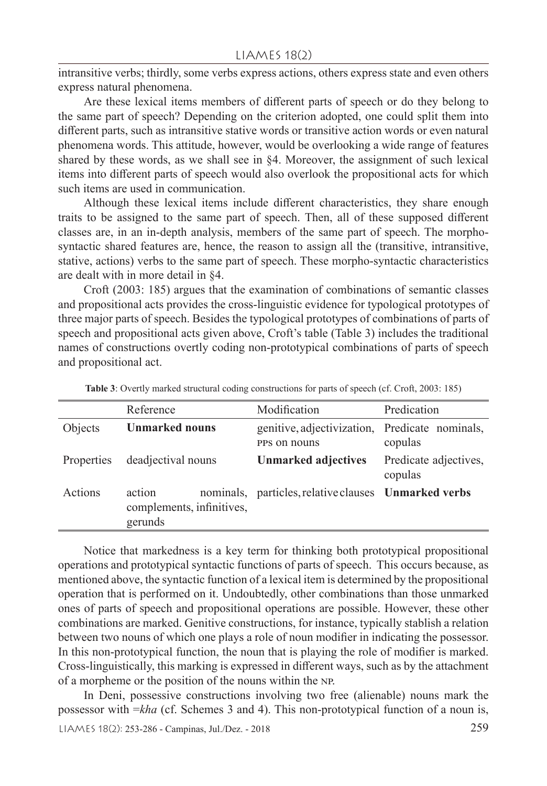intransitive verbs; thirdly, some verbs express actions, others express state and even others express natural phenomena.

Are these lexical items members of different parts of speech or do they belong to the same part of speech? Depending on the criterion adopted, one could split them into different parts, such as intransitive stative words or transitive action words or even natural phenomena words. This attitude, however, would be overlooking a wide range of features shared by these words, as we shall see in §4. Moreover, the assignment of such lexical items into different parts of speech would also overlook the propositional acts for which such items are used in communication.

Although these lexical items include different characteristics, they share enough traits to be assigned to the same part of speech. Then, all of these supposed different classes are, in an in-depth analysis, members of the same part of speech. The morphosyntactic shared features are, hence, the reason to assign all the (transitive, intransitive, stative, actions) verbs to the same part of speech. These morpho-syntactic characteristics are dealt with in more detail in §4.

Croft (2003: 185) argues that the examination of combinations of semantic classes and propositional acts provides the cross-linguistic evidence for typological prototypes of three major parts of speech. Besides the typological prototypes of combinations of parts of speech and propositional acts given above, Croft's table (Table 3) includes the traditional names of constructions overtly coding non-prototypical combinations of parts of speech and propositional act.

|            | Reference                                      | Modification                                                   | Predication                      |
|------------|------------------------------------------------|----------------------------------------------------------------|----------------------------------|
| Objects    | <b>Unmarked nouns</b>                          | genitive, adjectivization, Predicate nominals,<br>PPS on nouns | copulas                          |
| Properties | deadjectival nouns                             | <b>Unmarked adjectives</b>                                     | Predicate adjectives,<br>copulas |
| Actions    | action<br>complements, infinitives,<br>gerunds | nominals, particles, relative clauses Unmarked verbs           |                                  |

**Table 3**: Overtly marked structural coding constructions for parts of speech (cf. Croft, 2003: 185)

Notice that markedness is a key term for thinking both prototypical propositional operations and prototypical syntactic functions of parts of speech. This occurs because, as mentioned above, the syntactic function of a lexical item is determined by the propositional operation that is performed on it. Undoubtedly, other combinations than those unmarked ones of parts of speech and propositional operations are possible. However, these other combinations are marked. Genitive constructions, for instance, typically stablish a relation between two nouns of which one plays a role of noun modifier in indicating the possessor. In this non-prototypical function, the noun that is playing the role of modifier is marked. Cross-linguistically, this marking is expressed in different ways, such as by the attachment of a morpheme or the position of the nouns within the np.

In Deni, possessive constructions involving two free (alienable) nouns mark the possessor with =*kha* (cf. Schemes 3 and 4). This non-prototypical function of a noun is,

LIAMES 18(2): 253-286 - Campinas, Jul./Dez. - 2018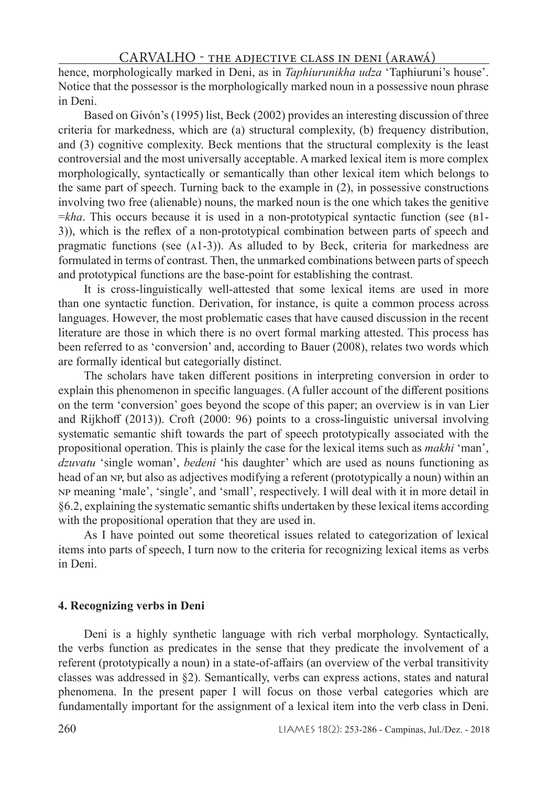hence, morphologically marked in Deni, as in *Taphiurunikha udza* 'Taphiuruni's house'. Notice that the possessor is the morphologically marked noun in a possessive noun phrase in Deni.

Based on Givón's (1995) list, Beck (2002) provides an interesting discussion of three criteria for markedness, which are (a) structural complexity, (b) frequency distribution, and (3) cognitive complexity. Beck mentions that the structural complexity is the least controversial and the most universally acceptable. A marked lexical item is more complex morphologically, syntactically or semantically than other lexical item which belongs to the same part of speech. Turning back to the example in (2), in possessive constructions involving two free (alienable) nouns, the marked noun is the one which takes the genitive =*kha*. This occurs because it is used in a non-prototypical syntactic function (see (b1- 3)), which is the reflex of a non-prototypical combination between parts of speech and pragmatic functions (see (a1-3)). As alluded to by Beck, criteria for markedness are formulated in terms of contrast. Then, the unmarked combinations between parts of speech and prototypical functions are the base-point for establishing the contrast.

It is cross-linguistically well-attested that some lexical items are used in more than one syntactic function. Derivation, for instance, is quite a common process across languages. However, the most problematic cases that have caused discussion in the recent literature are those in which there is no overt formal marking attested. This process has been referred to as 'conversion' and, according to Bauer (2008), relates two words which are formally identical but categorially distinct.

The scholars have taken different positions in interpreting conversion in order to explain this phenomenon in specific languages. (A fuller account of the different positions on the term 'conversion' goes beyond the scope of this paper; an overview is in van Lier and Rijkhoff (2013)). Croft (2000: 96) points to a cross-linguistic universal involving systematic semantic shift towards the part of speech prototypically associated with the propositional operation. This is plainly the case for the lexical items such as *makhi* 'man', *dzuvatu* 'single woman', *bedeni* 'his daughter' which are used as nouns functioning as head of an NP, but also as adjectives modifying a referent (prototypically a noun) within an np meaning 'male', 'single', and 'small', respectively. I will deal with it in more detail in §6.2, explaining the systematic semantic shifts undertaken by these lexical items according with the propositional operation that they are used in.

As I have pointed out some theoretical issues related to categorization of lexical items into parts of speech, I turn now to the criteria for recognizing lexical items as verbs in Deni.

#### **4. Recognizing verbs in Deni**

Deni is a highly synthetic language with rich verbal morphology. Syntactically, the verbs function as predicates in the sense that they predicate the involvement of a referent (prototypically a noun) in a state-of-affairs (an overview of the verbal transitivity classes was addressed in §2). Semantically, verbs can express actions, states and natural phenomena. In the present paper I will focus on those verbal categories which are fundamentally important for the assignment of a lexical item into the verb class in Deni.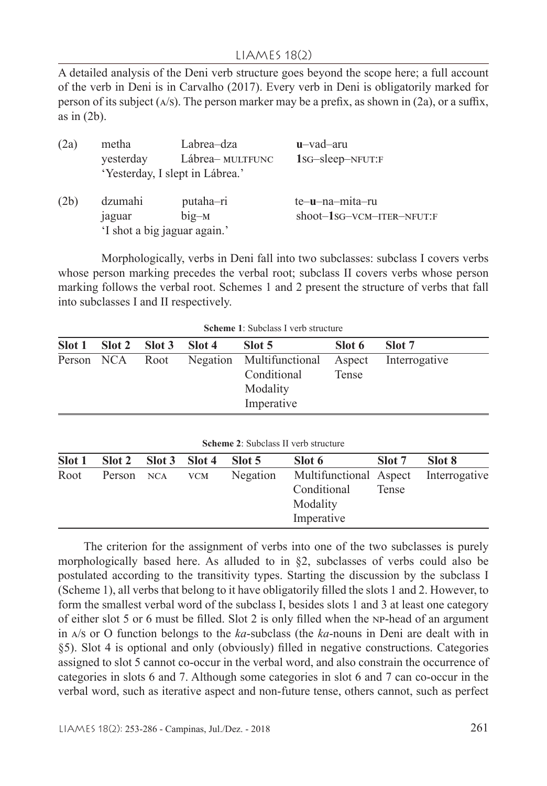### LIAMES 18(2)

A detailed analysis of the Deni verb structure goes beyond the scope here; a full account of the verb in Deni is in Carvalho (2017). Every verb in Deni is obligatorily marked for person of its subject  $(A/S)$ . The person marker may be a prefix, as shown in (2a), or a suffix, as in (2b).

| (2a) | metha                        | Labrea–dza                      | $u$ -vad-aru              |  |
|------|------------------------------|---------------------------------|---------------------------|--|
|      | yesterday                    | Lábrea- MULTFUNC                | 1sG-sleep-NFUT:F          |  |
|      |                              | 'Yesterday, I slept in Lábrea.' |                           |  |
| (2b) | dzumahi                      | putaha-ri                       | te-u-na-mita-ru           |  |
|      | jaguar                       | $big-M$                         | shoot-1sG-VCM-ITER-NFUT:F |  |
|      | 'I shot a big jaguar again.' |                                 |                           |  |

Morphologically, verbs in Deni fall into two subclasses: subclass I covers verbs whose person marking precedes the verbal root; subclass II covers verbs whose person marking follows the verbal root. Schemes 1 and 2 present the structure of verbs that fall into subclasses I and II respectively.

|  | Scheme 1: Subclass I verb structure |  |  |
|--|-------------------------------------|--|--|
|  |                                     |  |  |

|  | Slot 1 Slot 2 Slot 3 Slot 4 | Slot 5                                                                                                 | Slot 6 | Slot 7 |
|--|-----------------------------|--------------------------------------------------------------------------------------------------------|--------|--------|
|  |                             | Person NCA Root Negation Multifunctional Aspect Interrogative<br>Conditional<br>Modality<br>Imperative | Tense  |        |

|  |  |  |  |  | <b>Scheme 2:</b> Subclass II verb structure |
|--|--|--|--|--|---------------------------------------------|
|--|--|--|--|--|---------------------------------------------|

| Slot 1 | $\left  \right $ Slot 3 Slot 4 Slot 5 |                |          | Slot 6                                                                        | Slot 7 | Slot 8 |
|--------|---------------------------------------|----------------|----------|-------------------------------------------------------------------------------|--------|--------|
| Root   |                                       | Person NCA VCM | Negation | Multifunctional Aspect Interrogative<br>Conditional<br>Modality<br>Imperative | Tense  |        |

The criterion for the assignment of verbs into one of the two subclasses is purely morphologically based here. As alluded to in  $\S$ 2, subclasses of verbs could also be postulated according to the transitivity types. Starting the discussion by the subclass I (Scheme 1), all verbs that belong to it have obligatorily filled the slots 1 and 2. However, to form the smallest verbal word of the subclass I, besides slots 1 and 3 at least one category of either slot 5 or 6 must be filled. Slot 2 is only filled when the np-head of an argument in a/s or O function belongs to the *ka*-subclass (the *ka*-nouns in Deni are dealt with in §5). Slot 4 is optional and only (obviously) filled in negative constructions. Categories assigned to slot 5 cannot co-occur in the verbal word, and also constrain the occurrence of categories in slots 6 and 7. Although some categories in slot 6 and 7 can co-occur in the verbal word, such as iterative aspect and non-future tense, others cannot, such as perfect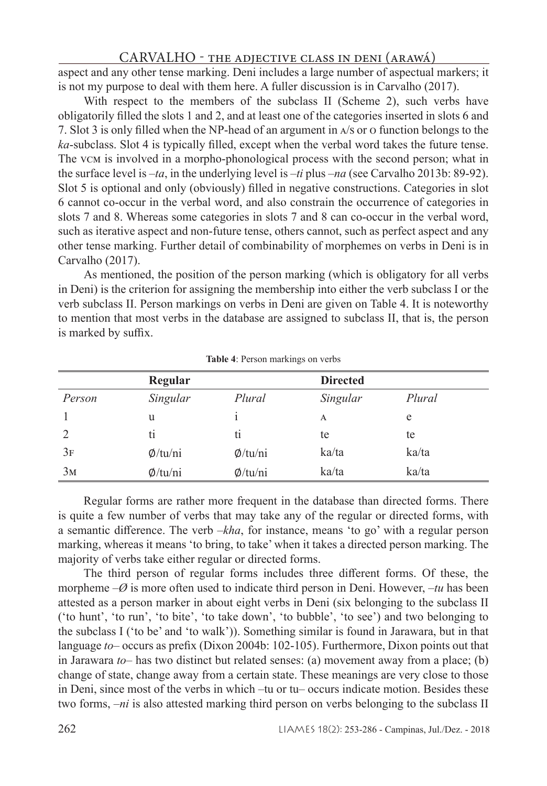aspect and any other tense marking. Deni includes a large number of aspectual markers; it is not my purpose to deal with them here. A fuller discussion is in Carvalho (2017).

With respect to the members of the subclass II (Scheme 2), such verbs have obligatorily filled the slots 1 and 2, and at least one of the categories inserted in slots 6 and 7. Slot 3 is only filled when the NP-head of an argument in a/s or o function belongs to the *ka*-subclass. Slot 4 is typically filled, except when the verbal word takes the future tense. The vcm is involved in a morpho-phonological process with the second person; what in the surface level is –*ta*, in the underlying level is –*ti* plus –*na* (see Carvalho 2013b: 89-92). Slot 5 is optional and only (obviously) filled in negative constructions. Categories in slot 6 cannot co-occur in the verbal word, and also constrain the occurrence of categories in slots 7 and 8. Whereas some categories in slots 7 and 8 can co-occur in the verbal word, such as iterative aspect and non-future tense, others cannot, such as perfect aspect and any other tense marking. Further detail of combinability of morphemes on verbs in Deni is in Carvalho (2017).

As mentioned, the position of the person marking (which is obligatory for all verbs in Deni) is the criterion for assigning the membership into either the verb subclass I or the verb subclass II. Person markings on verbs in Deni are given on Table 4. It is noteworthy to mention that most verbs in the database are assigned to subclass II, that is, the person is marked by suffix.

|                | Regular       |               | <b>Directed</b> |        |
|----------------|---------------|---------------|-----------------|--------|
| Person         | Singular      | Plural        | Singular        | Plural |
|                | u             |               | A               | e      |
|                | tı            | tı            | te              | te     |
| 3F             | $\phi$ /tu/ni | $\phi$ /tu/ni | ka/ta           | ka/ta  |
| 3 <sub>M</sub> | $\phi$ /tu/ni | $\phi$ /tu/ni | ka/ta           | ka/ta  |

**Table 4**: Person markings on verbs

Regular forms are rather more frequent in the database than directed forms. There is quite a few number of verbs that may take any of the regular or directed forms, with a semantic difference. The verb –*kha*, for instance, means 'to go' with a regular person marking, whereas it means 'to bring, to take' when it takes a directed person marking. The majority of verbs take either regular or directed forms.

The third person of regular forms includes three different forms. Of these, the morpheme –*Ø* is more often used to indicate third person in Deni. However, –*tu* has been attested as a person marker in about eight verbs in Deni (six belonging to the subclass II ('to hunt', 'to run', 'to bite', 'to take down', 'to bubble', 'to see') and two belonging to the subclass I ('to be' and 'to walk')). Something similar is found in Jarawara, but in that language *to*– occurs as prefix (Dixon 2004b: 102-105). Furthermore, Dixon points out that in Jarawara *to*– has two distinct but related senses: (a) movement away from a place; (b) change of state, change away from a certain state. These meanings are very close to those in Deni, since most of the verbs in which –tu or tu– occurs indicate motion. Besides these two forms, –*ni* is also attested marking third person on verbs belonging to the subclass II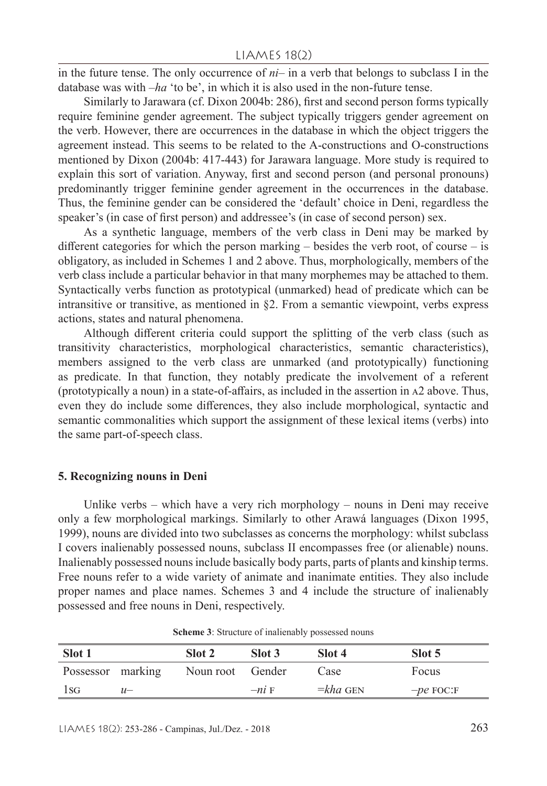in the future tense. The only occurrence of *ni*– in a verb that belongs to subclass I in the database was with –*ha* 'to be', in which it is also used in the non-future tense.

Similarly to Jarawara (cf. Dixon 2004b: 286), first and second person forms typically require feminine gender agreement. The subject typically triggers gender agreement on the verb. However, there are occurrences in the database in which the object triggers the agreement instead. This seems to be related to the A-constructions and O-constructions mentioned by Dixon (2004b: 417-443) for Jarawara language. More study is required to explain this sort of variation. Anyway, first and second person (and personal pronouns) predominantly trigger feminine gender agreement in the occurrences in the database. Thus, the feminine gender can be considered the 'default' choice in Deni, regardless the speaker's (in case of first person) and addressee's (in case of second person) sex.

As a synthetic language, members of the verb class in Deni may be marked by different categories for which the person marking – besides the verb root, of course – is obligatory, as included in Schemes 1 and 2 above. Thus, morphologically, members of the verb class include a particular behavior in that many morphemes may be attached to them. Syntactically verbs function as prototypical (unmarked) head of predicate which can be intransitive or transitive, as mentioned in §2. From a semantic viewpoint, verbs express actions, states and natural phenomena.

Although different criteria could support the splitting of the verb class (such as transitivity characteristics, morphological characteristics, semantic characteristics), members assigned to the verb class are unmarked (and prototypically) functioning as predicate. In that function, they notably predicate the involvement of a referent (prototypically a noun) in a state-of-affairs, as included in the assertion in a2 above. Thus, even they do include some differences, they also include morphological, syntactic and semantic commonalities which support the assignment of these lexical items (verbs) into the same part-of-speech class.

#### **5. Recognizing nouns in Deni**

Unlike verbs – which have a very rich morphology – nouns in Deni may receive only a few morphological markings. Similarly to other Arawá languages (Dixon 1995, 1999), nouns are divided into two subclasses as concerns the morphology: whilst subclass I covers inalienably possessed nouns, subclass II encompasses free (or alienable) nouns. Inalienably possessed nouns include basically body parts, parts of plants and kinship terms. Free nouns refer to a wide variety of animate and inanimate entities. They also include proper names and place names. Schemes 3 and 4 include the structure of inalienably possessed and free nouns in Deni, respectively.

| Slot 1            |       | Slot 2           | Slot 3  | Slot 4             | Slot 5      |
|-------------------|-------|------------------|---------|--------------------|-------------|
| Possessor marking |       | Noun root Gender |         | Case               | Focus       |
| 1sG               | $11-$ |                  | $-ni$ F | $=$ <i>kha</i> GEN | $-pe$ FOC:F |

**Scheme 3**: Structure of inalienably possessed nouns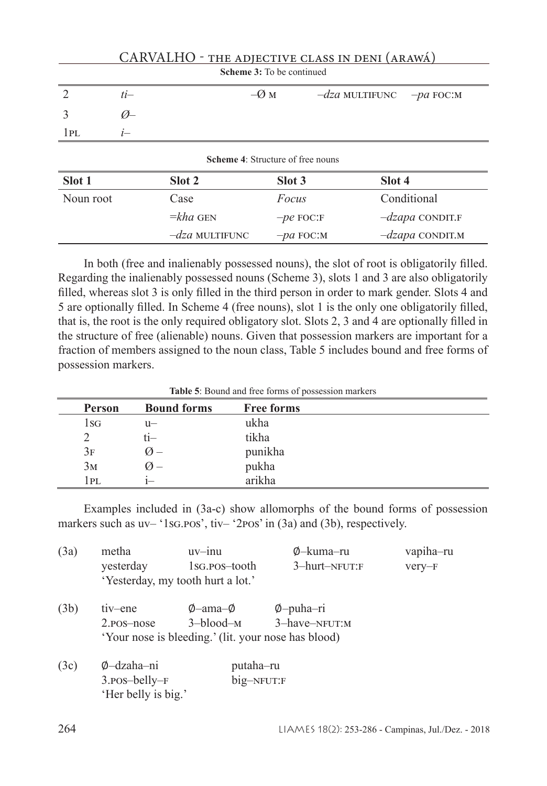|                           | CARVALHO - THE ADJECTIVE CLASS IN DENI (ARAWÁ) |                                          |                  |                              |                   |  |  |  |
|---------------------------|------------------------------------------------|------------------------------------------|------------------|------------------------------|-------------------|--|--|--|
| Scheme 3: To be continued |                                                |                                          |                  |                              |                   |  |  |  |
| $\mathcal{L}$             | $ti-$                                          |                                          | $-\varnothing$ M | $-dza$ MULTIFUNC $-pa$ FOC:M |                   |  |  |  |
| 3                         | $\varnothing$                                  |                                          |                  |                              |                   |  |  |  |
| 1PL                       | $i-$                                           |                                          |                  |                              |                   |  |  |  |
|                           |                                                | <b>Scheme 4: Structure of free nouns</b> |                  |                              |                   |  |  |  |
| Slot 1                    |                                                | Slot 2                                   | Slot 3           | Slot 4                       |                   |  |  |  |
| Noun root                 |                                                | Case                                     | Focus            |                              | Conditional       |  |  |  |
|                           |                                                | $= kha$ GEN                              | $-pe$ FOC:F      |                              | $-dzapa$ CONDIT.F |  |  |  |
|                           |                                                | $-dza$ MULTIFUNC                         | $-pa$ FOC:M      |                              | $-dzapa$ CONDIT.M |  |  |  |

In both (free and inalienably possessed nouns), the slot of root is obligatorily filled. Regarding the inalienably possessed nouns (Scheme 3), slots 1 and 3 are also obligatorily filled, whereas slot 3 is only filled in the third person in order to mark gender. Slots 4 and 5 are optionally filled. In Scheme 4 (free nouns), slot 1 is the only one obligatorily filled, that is, the root is the only required obligatory slot. Slots 2, 3 and 4 are optionally filled in the structure of free (alienable) nouns. Given that possession markers are important for a fraction of members assigned to the noun class, Table 5 includes bound and free forms of possession markers.

| Table 5: Bound and free forms of possession markers |  |
|-----------------------------------------------------|--|
|-----------------------------------------------------|--|

| Person         | <b>Bound forms</b> | <b>Free forms</b> |
|----------------|--------------------|-------------------|
| 1sg            | $u-$               | ukha              |
|                | tı—                | tikha             |
| 3F             | $\emptyset$ –      | punikha           |
| 3 <sub>M</sub> | $\emptyset$ –      | pukha             |
| 1PL            | $1-$               | arikha            |

Examples included in (3a-c) show allomorphs of the bound forms of possession markers such as uv– '1sg.pos', tiv– '2pos' in (3a) and (3b), respectively.

| (3a) | metha                                               | $uv - inu$          | Ø–kuma–ru          | vapiha-ru |  |
|------|-----------------------------------------------------|---------------------|--------------------|-----------|--|
|      | yesterday                                           | 1sg.pos-tooth       | 3-hurt-NFUT:F      | very-F    |  |
|      | 'Yesterday, my tooth hurt a lot.'                   |                     |                    |           |  |
| (3b) | tiv-ene                                             | $\phi$ -ama- $\phi$ | $\varphi$ -puha-ri |           |  |
|      | $2.POS - nose$                                      | 3-blood-м           | 3-have-NFUT:M      |           |  |
|      | 'Your nose is bleeding.' (lit. your nose has blood) |                     |                    |           |  |
| (3c) | Ø-dzaha-ni                                          | putaha-ru           |                    |           |  |
|      | $3.$ pos-belly- $F$                                 | big-NFUT:F          |                    |           |  |
|      | 'Her belly is big.'                                 |                     |                    |           |  |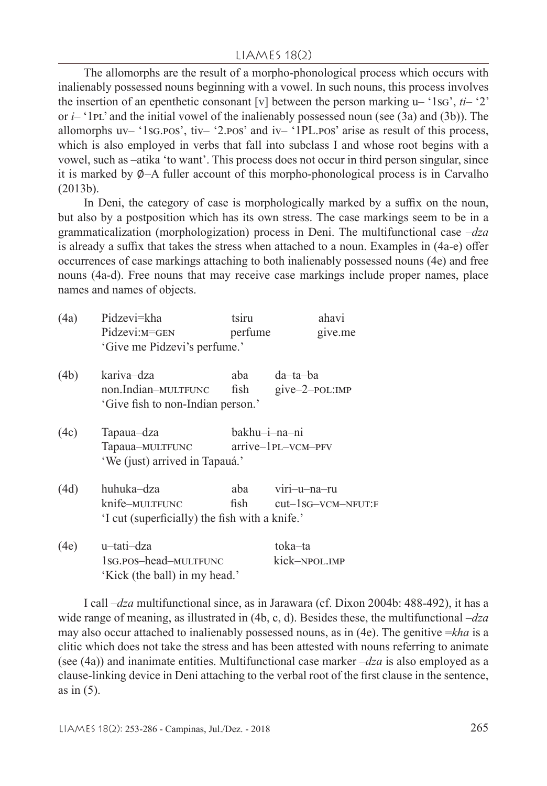The allomorphs are the result of a morpho-phonological process which occurs with inalienably possessed nouns beginning with a vowel. In such nouns, this process involves the insertion of an epenthetic consonant [v] between the person marking  $u-$  '1sg',  $ti-$  '2' or  $i$ – '1p<sub>L</sub>' and the initial vowel of the inalienably possessed noun (see (3a) and (3b)). The allomorphs  $uv - '1sg.pos'$ ,  $tiv - '2.pos'$  and  $iv - '1PL.pos'$  arise as result of this process, which is also employed in verbs that fall into subclass I and whose root begins with a vowel, such as –atika 'to want'. This process does not occur in third person singular, since it is marked by ∅–A fuller account of this morpho-phonological process is in Carvalho (2013b).

In Deni, the category of case is morphologically marked by a suffix on the noun, but also by a postposition which has its own stress. The case markings seem to be in a grammaticalization (morphologization) process in Deni. The multifunctional case –*dza* is already a suffix that takes the stress when attached to a noun. Examples in (4a-e) offer occurrences of case markings attaching to both inalienably possessed nouns (4e) and free nouns (4a-d). Free nouns that may receive case markings include proper names, place names and names of objects.

| (4a) | Pidzevi=kha                                    | tsiru         | ahavi                   |
|------|------------------------------------------------|---------------|-------------------------|
|      | Pidzevi: M=GEN                                 | perfume       | give.me                 |
|      | 'Give me Pidzevi's perfume.'                   |               |                         |
| (4b) | kariva-dza                                     | aba           | da-ta-ba                |
|      | non.Indian-MULTFUNC                            | fish          | give-2-pol:IMP          |
|      | 'Give fish to non-Indian person.'              |               |                         |
| (4c) | Tapaua–dza                                     | bakhu-i-na-ni |                         |
|      | Tapaua-MULTFUNC                                |               | arrive-1PL-VCM-PFV      |
|      | 'We (just) arrived in Tapauá.'                 |               |                         |
| (4d) | huhuka–dza                                     | aba           | viri-u-na-ru            |
|      | knife-multfunc                                 |               | fish cut-1sG-VCM-NFUT:F |
|      | 'I cut (superficially) the fish with a knife.' |               |                         |
| (4e) | u-tati-dza                                     |               | toka–ta                 |
|      | 1sg.pos-head-multfunc                          |               | kick-npol.imp           |

I call –*dza* multifunctional since, as in Jarawara (cf. Dixon 2004b: 488-492), it has a wide range of meaning, as illustrated in (4b, c, d). Besides these, the multifunctional –*dza* may also occur attached to inalienably possessed nouns, as in (4e). The genitive =*kha* is a clitic which does not take the stress and has been attested with nouns referring to animate (see (4a)) and inanimate entities. Multifunctional case marker –*dza* is also employed as a clause-linking device in Deni attaching to the verbal root of the first clause in the sentence, as in (5).

'Kick (the ball) in my head.'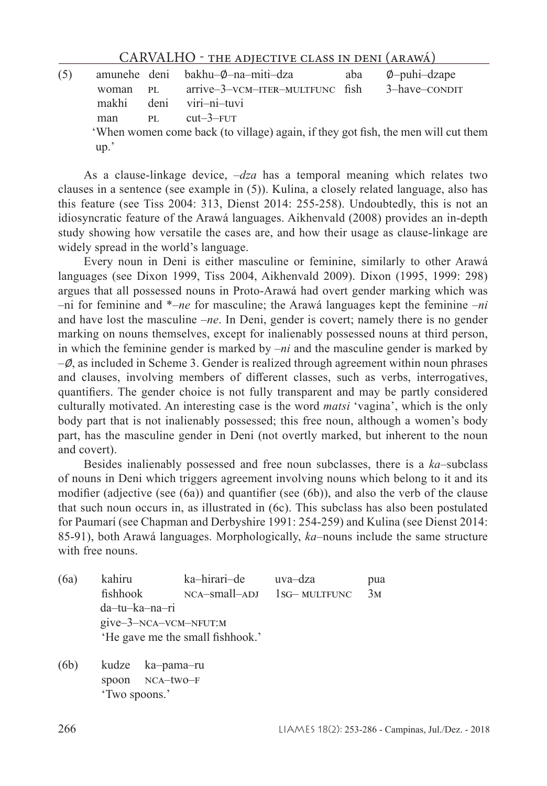(5) amunehe deni bakhu–∅–na–miti–dza aba ∅–puhi–dzape woman  $PL = \text{arrive} - 3 - \text{VCM-TTER}-\text{MULTFUNC}$  fish makhi deni viri–ni–tuvi man PL cut–3–FUT 'When women come back (to village) again, if they got fish, the men will cut them up.'

As a clause-linkage device, –*dza* has a temporal meaning which relates two clauses in a sentence (see example in (5)). Kulina, a closely related language, also has this feature (see Tiss 2004: 313, Dienst 2014: 255-258). Undoubtedly, this is not an idiosyncratic feature of the Arawá languages. Aikhenvald (2008) provides an in-depth study showing how versatile the cases are, and how their usage as clause-linkage are widely spread in the world's language.

Every noun in Deni is either masculine or feminine, similarly to other Arawá languages (see Dixon 1999, Tiss 2004, Aikhenvald 2009). Dixon (1995, 1999: 298) argues that all possessed nouns in Proto-Arawá had overt gender marking which was –ni for feminine and \*–*ne* for masculine; the Arawá languages kept the feminine –*ni* and have lost the masculine –*ne*. In Deni, gender is covert; namely there is no gender marking on nouns themselves, except for inalienably possessed nouns at third person, in which the feminine gender is marked by –*ni* and the masculine gender is marked by  $-\varnothing$ , as included in Scheme 3. Gender is realized through agreement within noun phrases and clauses, involving members of different classes, such as verbs, interrogatives, quantifiers. The gender choice is not fully transparent and may be partly considered culturally motivated. An interesting case is the word *matsi* 'vagina', which is the only body part that is not inalienably possessed; this free noun, although a women's body part, has the masculine gender in Deni (not overtly marked, but inherent to the noun and covert).

Besides inalienably possessed and free noun subclasses, there is a *ka*–subclass of nouns in Deni which triggers agreement involving nouns which belong to it and its modifier (adjective (see (6a)) and quantifier (see (6b)), and also the verb of the clause that such noun occurs in, as illustrated in (6c). This subclass has also been postulated for Paumarí (see Chapman and Derbyshire 1991: 254-259) and Kulina (see Dienst 2014: 85-91), both Arawá languages. Morphologically, *ka*–nouns include the same structure with free nouns.

- (6a) kahiru ka–hirari–de uva–dza pua fishhook nca–small–adj 1sg– multfunc 3m da–tu–ka–na–ri give–3–nca–vcm–nfut:m 'He gave me the small fishhook.'
- (6b) kudze ka–pama–ru spoon NCA-two-F 'Two spoons.'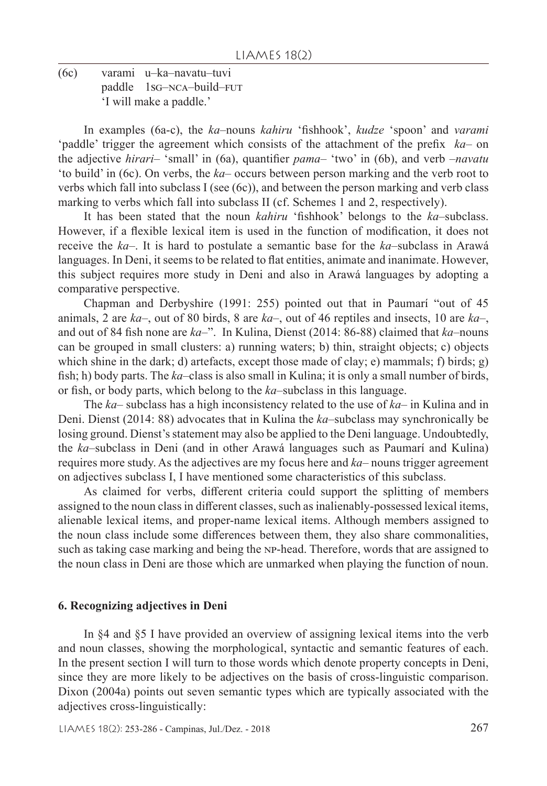(6c) varami u–ka–navatu–tuvi paddle 1sG-NCA-build-FUT 'I will make a paddle.'

In examples (6a-c), the *ka*–nouns *kahiru* 'fishhook', *kudze* 'spoon' and *varami* 'paddle' trigger the agreement which consists of the attachment of the prefix *ka*– on the adjective *hirari*– 'small' in (6a), quantifier *pama*– 'two' in (6b), and verb –*navatu* 'to build' in (6c). On verbs, the *ka*– occurs between person marking and the verb root to verbs which fall into subclass I (see (6c)), and between the person marking and verb class marking to verbs which fall into subclass II (cf. Schemes 1 and 2, respectively).

It has been stated that the noun *kahiru* 'fishhook' belongs to the *ka*–subclass. However, if a flexible lexical item is used in the function of modification, it does not receive the *ka*–. It is hard to postulate a semantic base for the *ka*–subclass in Arawá languages. In Deni, it seems to be related to flat entities, animate and inanimate. However, this subject requires more study in Deni and also in Arawá languages by adopting a comparative perspective.

Chapman and Derbyshire (1991: 255) pointed out that in Paumarí "out of 45 animals, 2 are *ka*–, out of 80 birds, 8 are *ka*–, out of 46 reptiles and insects, 10 are *ka*–, and out of 84 fish none are *ka*–". In Kulina, Dienst (2014: 86-88) claimed that *ka*–nouns can be grouped in small clusters: a) running waters; b) thin, straight objects; c) objects which shine in the dark; d) artefacts, except those made of clay; e) mammals; f) birds; g) fish; h) body parts. The *ka*–class is also small in Kulina; it is only a small number of birds, or fish, or body parts, which belong to the *ka*–subclass in this language.

The *ka*– subclass has a high inconsistency related to the use of *ka*– in Kulina and in Deni. Dienst (2014: 88) advocates that in Kulina the *ka*–subclass may synchronically be losing ground. Dienst's statement may also be applied to the Deni language. Undoubtedly, the *ka*–subclass in Deni (and in other Arawá languages such as Paumarí and Kulina) requires more study. As the adjectives are my focus here and *ka*– nouns trigger agreement on adjectives subclass I, I have mentioned some characteristics of this subclass.

As claimed for verbs, different criteria could support the splitting of members assigned to the noun class in different classes, such as inalienably-possessed lexical items, alienable lexical items, and proper-name lexical items. Although members assigned to the noun class include some differences between them, they also share commonalities, such as taking case marking and being the np-head. Therefore, words that are assigned to the noun class in Deni are those which are unmarked when playing the function of noun.

#### **6. Recognizing adjectives in Deni**

In §4 and §5 I have provided an overview of assigning lexical items into the verb and noun classes, showing the morphological, syntactic and semantic features of each. In the present section I will turn to those words which denote property concepts in Deni, since they are more likely to be adjectives on the basis of cross-linguistic comparison. Dixon (2004a) points out seven semantic types which are typically associated with the adjectives cross-linguistically: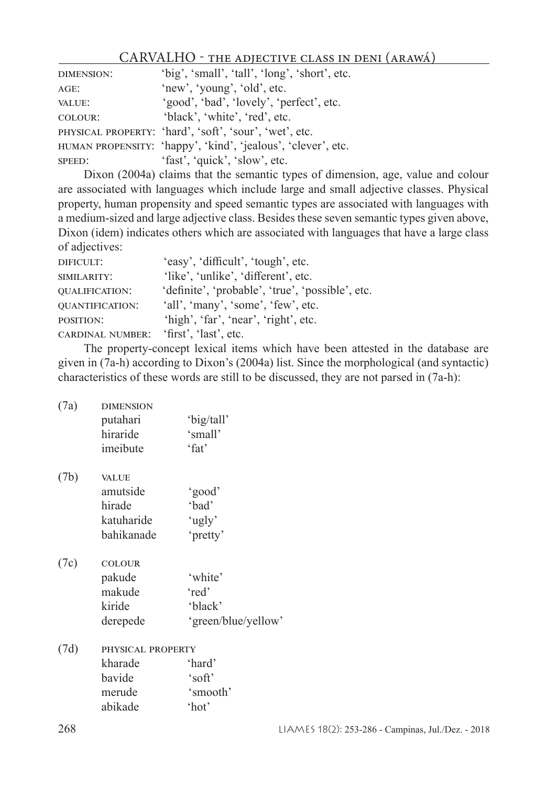| <b>DIMENSION:</b> | 'big', 'small', 'tall', 'long', 'short', etc.                |
|-------------------|--------------------------------------------------------------|
| $AGE$ :           | 'new', 'young', 'old', etc.                                  |
| VALUE:            | 'good', 'bad', 'lovely', 'perfect', etc.                     |
| COLOUR:           | 'black', 'white', 'red', etc.                                |
|                   | PHYSICAL PROPERTY: 'hard', 'soft', 'sour', 'wet', etc.       |
|                   | HUMAN PROPENSITY: 'happy', 'kind', 'jealous', 'clever', etc. |
| SPEED:            | 'fast', 'quick', 'slow', etc.                                |

Dixon (2004a) claims that the semantic types of dimension, age, value and colour are associated with languages which include large and small adjective classes. Physical property, human propensity and speed semantic types are associated with languages with a medium-sized and large adjective class. Besides these seven semantic types given above, Dixon (idem) indicates others which are associated with languages that have a large class of adjectives:

| DIFICULT:               | 'easy', 'difficult', 'tough', etc.               |
|-------------------------|--------------------------------------------------|
| SIMILARITY:             | 'like', 'unlike', 'different', etc.              |
| <b>QUALIFICATION:</b>   | 'definite', 'probable', 'true', 'possible', etc. |
| <b>QUANTIFICATION:</b>  | 'all', 'many', 'some', 'few', etc.               |
| POSITION:               | 'high', 'far', 'near', 'right', etc.             |
| <b>CARDINAL NUMBER:</b> | 'first', 'last', etc.                            |
|                         |                                                  |

The property-concept lexical items which have been attested in the database are given in (7a-h) according to Dixon's (2004a) list. Since the morphological (and syntactic) characteristics of these words are still to be discussed, they are not parsed in (7a-h):

| (7a) | <b>DIMENSION</b>  |                     |
|------|-------------------|---------------------|
|      | putahari          | 'big/tall'          |
|      | hiraride          | 'small'             |
|      | imeibute          | $'$ fat'            |
| (7b) | <b>VALUE</b>      |                     |
|      | amutside          | 'good'              |
|      | hirade            | 'bad'               |
|      | katuharide        | 'ugly'              |
|      | bahikanade        | 'pretty'            |
| (7c) | <b>COLOUR</b>     |                     |
|      | pakude            | 'white'             |
|      | makude            | 'red'               |
|      | kiride            | 'black'             |
|      | derepede          | 'green/blue/yellow' |
| (7d) | PHYSICAL PROPERTY |                     |
|      | kharade           | 'hard'              |
|      | bavide            | 'soft'              |
|      | merude            | 'smooth'            |
|      | abikade           | 'hot'               |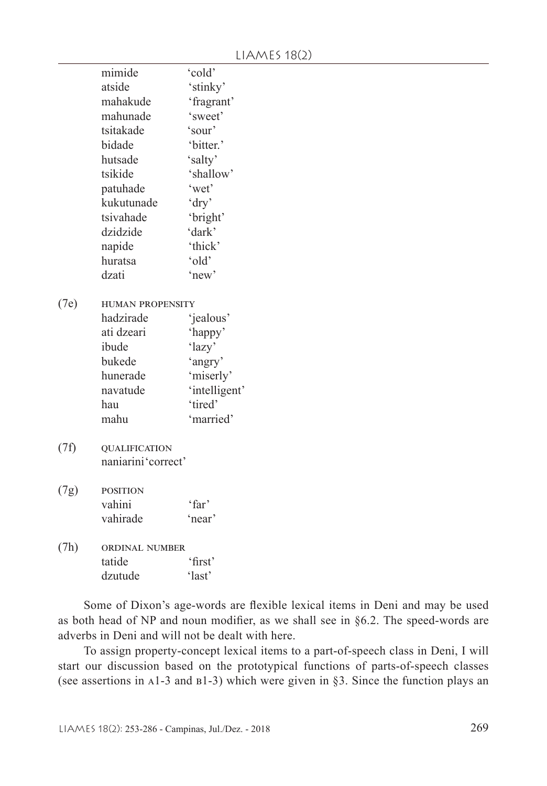|      | mimide                  | 'cold'        |  |  |  |
|------|-------------------------|---------------|--|--|--|
|      | atside                  | 'stinky'      |  |  |  |
|      | mahakude                | 'fragrant'    |  |  |  |
|      | mahunade                | 'sweet'       |  |  |  |
|      | tsitakade               | 'sour'        |  |  |  |
|      | bidade                  | 'bitter.'     |  |  |  |
|      | hutsade                 | 'salty'       |  |  |  |
|      | tsikide                 | 'shallow'     |  |  |  |
|      | patuhade                | 'wet'         |  |  |  |
|      | kukutunade              | 'dry'         |  |  |  |
|      | tsivahade               | 'bright'      |  |  |  |
|      | dzidzide                | 'dark'        |  |  |  |
|      | napide                  | 'thick'       |  |  |  |
|      | huratsa                 | 'old'         |  |  |  |
|      | dzati                   | 'new'         |  |  |  |
| (7e) | <b>HUMAN PROPENSITY</b> |               |  |  |  |
|      | hadzirade               | 'jealous'     |  |  |  |
|      | ati dzeari              | 'happy'       |  |  |  |
|      | ibude                   | 'lazy'        |  |  |  |
|      | bukede                  | 'angry'       |  |  |  |
|      | hunerade                | 'miserly'     |  |  |  |
|      | navatude                | 'intelligent' |  |  |  |
|      | hau                     | 'tired'       |  |  |  |
|      | mahu                    | 'married'     |  |  |  |
| (7f) | <b>QUALIFICATION</b>    |               |  |  |  |
|      | naniarini'correct'      |               |  |  |  |
|      |                         |               |  |  |  |
| (7g) | <b>POSITION</b>         |               |  |  |  |
|      | vahini                  | 'far'         |  |  |  |
|      | vahirade                | 'near'        |  |  |  |
| (7h) | ORDINAL NUMBER          |               |  |  |  |
|      | tatide                  | 'first'       |  |  |  |
|      | dzutude                 | 'last'        |  |  |  |
|      |                         |               |  |  |  |

Some of Dixon's age-words are flexible lexical items in Deni and may be used as both head of NP and noun modifier, as we shall see in §6.2. The speed-words are adverbs in Deni and will not be dealt with here.

To assign property-concept lexical items to a part-of-speech class in Deni, I will start our discussion based on the prototypical functions of parts-of-speech classes (see assertions in a1-3 and b1-3) which were given in §3. Since the function plays an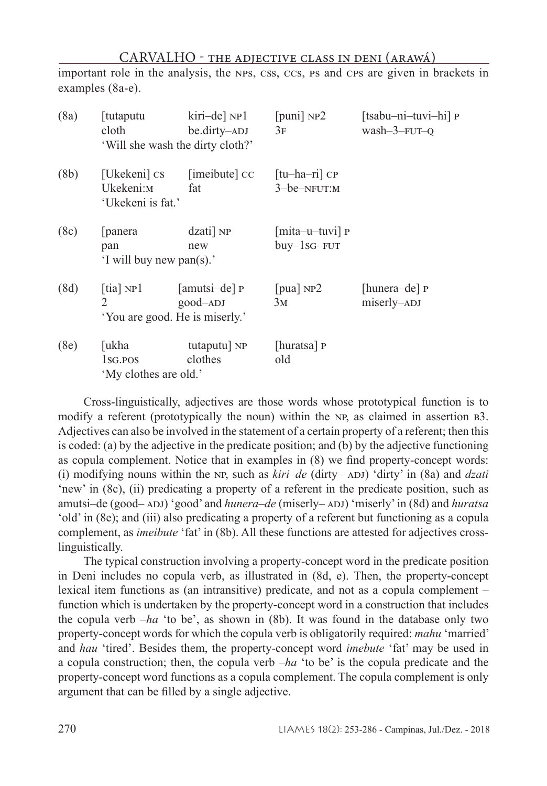important role in the analysis, the nps, css, ccs, ps and cps are given in brackets in examples (8a-e).

| (8a) | [tutaputu<br>cloth                                              | kiri-de] NP1<br>be.dirty-ADJ<br>'Will she wash the dirty cloth?' | [ $puni$ ] $NP2$<br>3F                    | [tsabu-ni-tuvi-hi] P<br>wash-3-FUT-Q |
|------|-----------------------------------------------------------------|------------------------------------------------------------------|-------------------------------------------|--------------------------------------|
| (8b) | [Ukekeni] cs<br>Ukekeni:м<br>'Ukekeni is fat.'                  | [imeibute] CC<br>fat                                             | $[$ tu-ha-ri $]$ CP<br>$3$ -be- $N$ FUT:M |                                      |
| (8c) | [panera]<br>pan<br>'I will buy new pan(s).'                     | dzati] NP<br>new                                                 | [mita-u-tuvi] P<br>$buy - 1sG - FUT$      |                                      |
| (8d) | [tia] $NP1$<br>$\mathfrak{D}$<br>'You are good. He is miserly.' | [amutsi-de] P<br>$good$ -ADJ                                     | [pua] $NP2$<br>3 <sub>M</sub>             | [hunera-de] P<br>miserly-ADJ         |
| (8e) | [ukha<br>1sg.pos<br>'My clothes are old.'                       | tutaputu] NP<br>clothes                                          | [huratsa] P<br>old                        |                                      |

Cross-linguistically, adjectives are those words whose prototypical function is to modify a referent (prototypically the noun) within the NP, as claimed in assertion B3. Adjectives can also be involved in the statement of a certain property of a referent; then this is coded: (a) by the adjective in the predicate position; and (b) by the adjective functioning as copula complement. Notice that in examples in (8) we find property-concept words: (i) modifying nouns within the NP, such as  $kiri-de$  (dirty– ADJ) 'dirty' in (8a) and *dzati* 'new' in (8c), (ii) predicating a property of a referent in the predicate position, such as amutsi-de (good-ADJ) 'good' and *hunera-de* (miserly-ADJ) 'miserly' in (8d) and *huratsa* 'old' in (8e); and (iii) also predicating a property of a referent but functioning as a copula complement, as *imeibute* 'fat' in (8b). All these functions are attested for adjectives crosslinguistically.

The typical construction involving a property-concept word in the predicate position in Deni includes no copula verb, as illustrated in (8d, e). Then, the property-concept lexical item functions as (an intransitive) predicate, and not as a copula complement – function which is undertaken by the property-concept word in a construction that includes the copula verb –*ha* 'to be', as shown in (8b). It was found in the database only two property-concept words for which the copula verb is obligatorily required: *mahu* 'married' and *hau* 'tired'. Besides them, the property-concept word *imebute* 'fat' may be used in a copula construction; then, the copula verb –*ha* 'to be' is the copula predicate and the property-concept word functions as a copula complement. The copula complement is only argument that can be filled by a single adjective.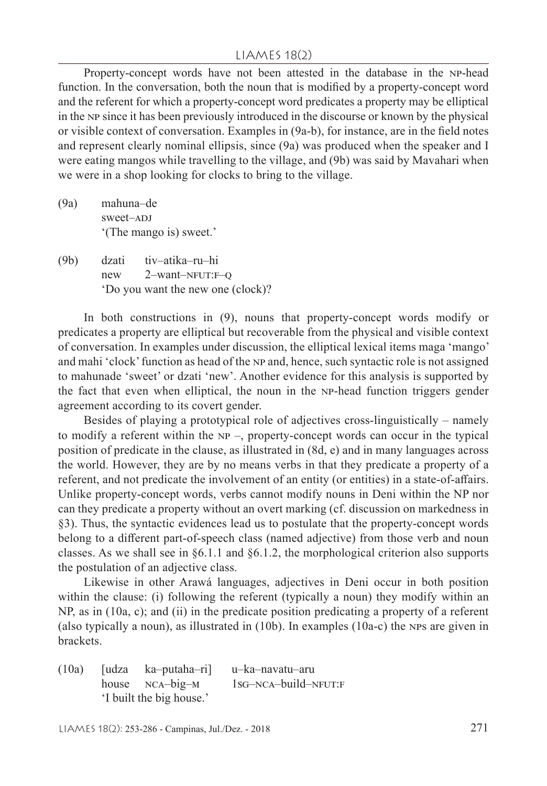#### LIAMES 18(2)

Property-concept words have not been attested in the database in the np-head function. In the conversation, both the noun that is modified by a property-concept word and the referent for which a property-concept word predicates a property may be elliptical in the np since it has been previously introduced in the discourse or known by the physical or visible context of conversation. Examples in (9a-b), for instance, are in the field notes and represent clearly nominal ellipsis, since (9a) was produced when the speaker and I were eating mangos while travelling to the village, and (9b) was said by Mavahari when we were in a shop looking for clocks to bring to the village.

- (9a) mahuna–de sweet–ADJ '(The mango is) sweet.'
- (9b) dzati tiv–atika–ru–hi new  $2$ -want-NFUT: $F=Q$ 'Do you want the new one (clock)?

In both constructions in (9), nouns that property-concept words modify or predicates a property are elliptical but recoverable from the physical and visible context of conversation. In examples under discussion, the elliptical lexical items maga 'mango' and mahi 'clock' function as head of the NP and, hence, such syntactic role is not assigned to mahunade 'sweet' or dzati 'new'. Another evidence for this analysis is supported by the fact that even when elliptical, the noun in the np-head function triggers gender agreement according to its covert gender.

Besides of playing a prototypical role of adjectives cross-linguistically – namely to modify a referent within the  $NP -$ , property-concept words can occur in the typical position of predicate in the clause, as illustrated in (8d, e) and in many languages across the world. However, they are by no means verbs in that they predicate a property of a referent, and not predicate the involvement of an entity (or entities) in a state-of-affairs. Unlike property-concept words, verbs cannot modify nouns in Deni within the NP nor can they predicate a property without an overt marking (cf. discussion on markedness in §3). Thus, the syntactic evidences lead us to postulate that the property-concept words belong to a different part-of-speech class (named adjective) from those verb and noun classes. As we shall see in  $\S 6.1.1$  and  $\S 6.1.2$ , the morphological criterion also supports the postulation of an adjective class.

Likewise in other Arawá languages, adjectives in Deni occur in both position within the clause: (i) following the referent (typically a noun) they modify within an NP, as in (10a, c); and (ii) in the predicate position predicating a property of a referent (also typically a noun), as illustrated in (10b). In examples (10a-c) the nps are given in brackets.

(10a) [udza ka–putaha–ri] u–ka–navatu–aru house  $NCA-big-M$  1sg- $NCA-build-NFUT:F$ 'I built the big house.'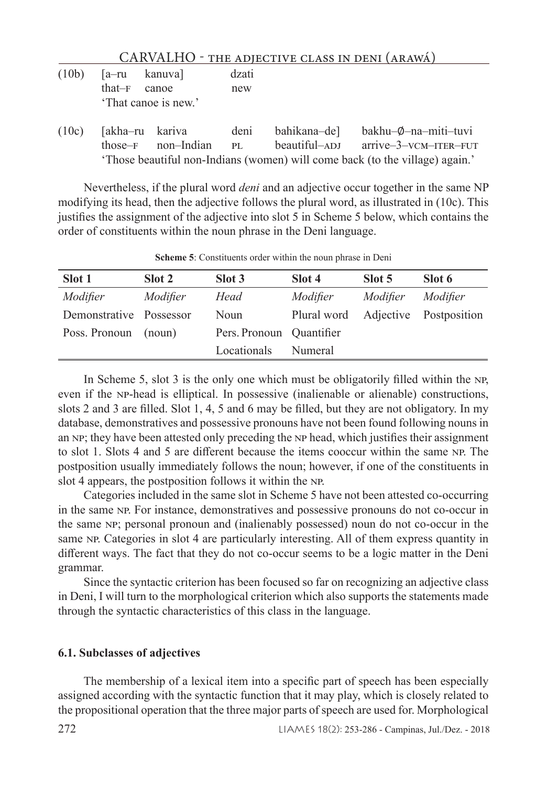|       |                            |                                               |              | CARVALHO - THE ADJECTIVE CLASS IN DENI (ARAWÁ) |                                               |
|-------|----------------------------|-----------------------------------------------|--------------|------------------------------------------------|-----------------------------------------------|
| (10b) | $[a-ru$ kanuva<br>$that-F$ | canoe<br>'That canoe is new.'                 | dzati<br>new |                                                |                                               |
| (10c) |                            | [akha-ru kariva deni<br>those-F non-Indian PL |              | bahikana-de]<br>$beautiful-ADI$                | bakhu-Ø-na-miti-tuvi<br>arrive-3-vcm-ITER-FUT |

'Those beautiful non-Indians (women) will come back (to the village) again.'

Nevertheless, if the plural word *deni* and an adjective occur together in the same NP modifying its head, then the adjective follows the plural word, as illustrated in (10c). This justifies the assignment of the adjective into slot 5 in Scheme 5 below, which contains the order of constituents within the noun phrase in the Deni language.

| Slot 1                  | Slot 2   | Slot 3                   | Slot 4                             | Slot 5   | Slot 6   |
|-------------------------|----------|--------------------------|------------------------------------|----------|----------|
| Modifier                | Modifier | Head                     | Modifier                           | Modifier | Modifier |
| Demonstrative Possessor |          | Noun                     | Plural word Adjective Postposition |          |          |
| Poss. Pronoun           | (noun)   | Pers. Pronoun Quantifier |                                    |          |          |
|                         |          | Locationals              | Numeral                            |          |          |

**Scheme 5**: Constituents order within the noun phrase in Deni

In Scheme 5, slot 3 is the only one which must be obligatorily filled within the NP, even if the np-head is elliptical. In possessive (inalienable or alienable) constructions, slots 2 and 3 are filled. Slot 1, 4, 5 and 6 may be filled, but they are not obligatory. In my database, demonstratives and possessive pronouns have not been found following nouns in an NP; they have been attested only preceding the NP head, which justifies their assignment to slot 1. Slots 4 and 5 are different because the items cooccur within the same np. The postposition usually immediately follows the noun; however, if one of the constituents in slot 4 appears, the postposition follows it within the NP.

Categories included in the same slot in Scheme 5 have not been attested co-occurring in the same np. For instance, demonstratives and possessive pronouns do not co-occur in the same np; personal pronoun and (inalienably possessed) noun do not co-occur in the same NP. Categories in slot 4 are particularly interesting. All of them express quantity in different ways. The fact that they do not co-occur seems to be a logic matter in the Deni grammar.

Since the syntactic criterion has been focused so far on recognizing an adjective class in Deni, I will turn to the morphological criterion which also supports the statements made through the syntactic characteristics of this class in the language.

#### **6.1. Subclasses of adjectives**

The membership of a lexical item into a specific part of speech has been especially assigned according with the syntactic function that it may play, which is closely related to the propositional operation that the three major parts of speech are used for. Morphological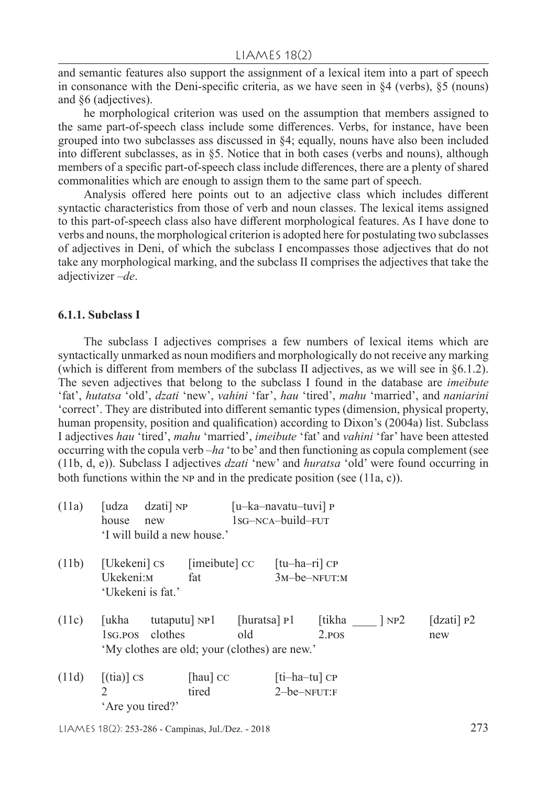and semantic features also support the assignment of a lexical item into a part of speech in consonance with the Deni-specific criteria, as we have seen in §4 (verbs), §5 (nouns) and §6 (adjectives).

he morphological criterion was used on the assumption that members assigned to the same part-of-speech class include some differences. Verbs, for instance, have been grouped into two subclasses ass discussed in §4; equally, nouns have also been included into different subclasses, as in §5. Notice that in both cases (verbs and nouns), although members of a specific part-of-speech class include differences, there are a plenty of shared commonalities which are enough to assign them to the same part of speech.

Analysis offered here points out to an adjective class which includes different syntactic characteristics from those of verb and noun classes. The lexical items assigned to this part-of-speech class also have different morphological features. As I have done to verbs and nouns, the morphological criterion is adopted here for postulating two subclasses of adjectives in Deni, of which the subclass I encompasses those adjectives that do not take any morphological marking, and the subclass II comprises the adjectives that take the adjectivizer –*de*.

#### **6.1.1. Subclass I**

The subclass I adjectives comprises a few numbers of lexical items which are syntactically unmarked as noun modifiers and morphologically do not receive any marking (which is different from members of the subclass II adjectives, as we will see in §6.1.2). The seven adjectives that belong to the subclass I found in the database are *imeibute* 'fat', *hutatsa* 'old', *dzati* 'new', *vahini* 'far', *hau* 'tired', *mahu* 'married', and *naniarini* 'correct'. They are distributed into different semantic types (dimension, physical property, human propensity, position and qualification) according to Dixon's (2004a) list. Subclass I adjectives *hau* 'tired', *mahu* 'married', *imeibute* 'fat' and *vahini* 'far' have been attested occurring with the copula verb –*ha* 'to be' and then functioning as copula complement (see (11b, d, e)). Subclass I adjectives *dzati* 'new' and *huratsa* 'old' were found occurring in both functions within the NP and in the predicate position (see  $(11a, c)$ ).

| (11a) | $dzati$ ] NP<br>[udza<br>house<br>new<br>'I will build a new house.'              |                      | [u-ka-navatu-tuvi] P<br>$1sG-NCA-build-FUT$ |                                    |          |                     |
|-------|-----------------------------------------------------------------------------------|----------------------|---------------------------------------------|------------------------------------|----------|---------------------|
| (11b) | [Ukekeni] CS<br>Ukekeni:м<br>'Ukekeni is fat.'                                    | [imeibute] CC<br>fat |                                             | $[tu-ha-ri]$ CP<br>$3M$ -be-NFUT:M |          |                     |
| (11c) | [ukha<br>clothes<br>$1_{SG,POS}$<br>'My clothes are old; your (clothes) are new.' | tutaputu] NP1        | [huratsa] P1<br>old                         | [tikha<br>2. <sub>POS</sub>        | $\log 2$ | [dzati] $P2$<br>new |
| (11d) | $[$ (tia) $]$ cs                                                                  | [hau] CC<br>tired    | $2 - be-NFUT: F$                            | [ti-ha-tu] CP                      |          |                     |

'Are you tired?'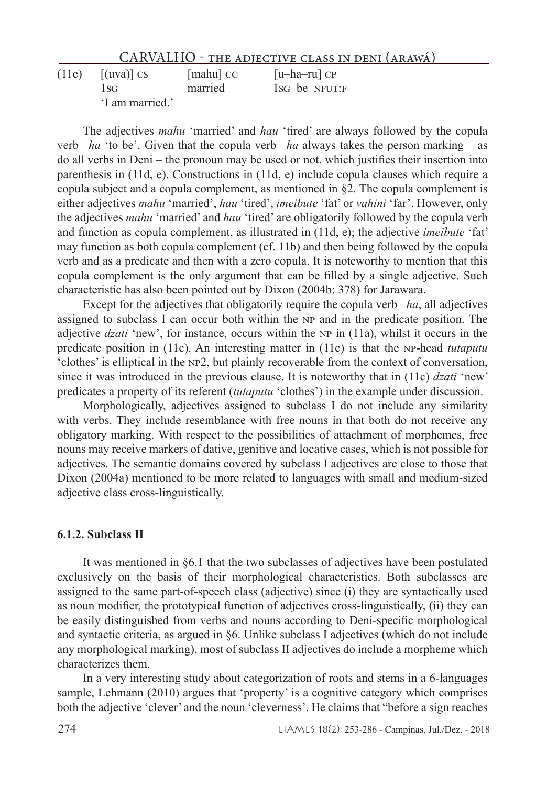| (11e) | $\lceil$ (uva) $\rceil$ CS | $[math]$ cc | $[u-ha-ru]$ CP   |
|-------|----------------------------|-------------|------------------|
|       | 1sg                        | married     | $1sG$ -be-NFUT:F |
|       | 'I am married.'            |             |                  |

The adjectives *mahu* 'married' and *hau* 'tired' are always followed by the copula verb  $-ha$  'to be'. Given that the copula verb  $-ha$  always takes the person marking – as do all verbs in Deni – the pronoun may be used or not, which justifies their insertion into parenthesis in (11d, e). Constructions in (11d, e) include copula clauses which require a copula subject and a copula complement, as mentioned in  $\S$ 2. The copula complement is either adjectives *mahu* 'married', *hau* 'tired', *imeibute* 'fat' or *vahini* 'far'. However, only the adjectives *mahu* 'married' and *hau* 'tired' are obligatorily followed by the copula verb and function as copula complement, as illustrated in (11d, e); the adjective *imeibute* 'fat' may function as both copula complement (cf. 11b) and then being followed by the copula verb and as a predicate and then with a zero copula. It is noteworthy to mention that this copula complement is the only argument that can be filled by a single adjective. Such characteristic has also been pointed out by Dixon (2004b: 378) for Jarawara.

Except for the adjectives that obligatorily require the copula verb –*ha*, all adjectives assigned to subclass I can occur both within the np and in the predicate position. The adjective *dzati* 'new', for instance, occurs within the np in (11a), whilst it occurs in the predicate position in (11c). An interesting matter in (11c) is that the np-head *tutaputu* 'clothes' is elliptical in the np2, but plainly recoverable from the context of conversation, since it was introduced in the previous clause. It is noteworthy that in (11c) *dzati* 'new' predicates a property of its referent (*tutaputu* 'clothes') in the example under discussion.

Morphologically, adjectives assigned to subclass I do not include any similarity with verbs. They include resemblance with free nouns in that both do not receive any obligatory marking. With respect to the possibilities of attachment of morphemes, free nouns may receive markers of dative, genitive and locative cases, which is not possible for adjectives. The semantic domains covered by subclass I adjectives are close to those that Dixon (2004a) mentioned to be more related to languages with small and medium-sized adjective class cross-linguistically.

#### **6.1.2. Subclass II**

It was mentioned in §6.1 that the two subclasses of adjectives have been postulated exclusively on the basis of their morphological characteristics. Both subclasses are assigned to the same part-of-speech class (adjective) since (i) they are syntactically used as noun modifier, the prototypical function of adjectives cross-linguistically, (ii) they can be easily distinguished from verbs and nouns according to Deni-specific morphological and syntactic criteria, as argued in §6. Unlike subclass I adjectives (which do not include any morphological marking), most of subclass II adjectives do include a morpheme which characterizes them.

In a very interesting study about categorization of roots and stems in a 6-languages sample, Lehmann (2010) argues that 'property' is a cognitive category which comprises both the adjective 'clever' and the noun 'cleverness'. He claims that "before a sign reaches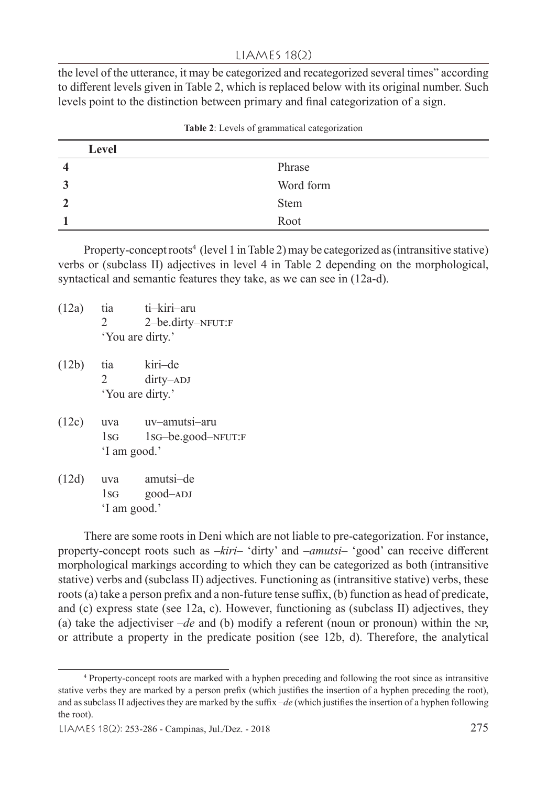the level of the utterance, it may be categorized and recategorized several times" according to different levels given in Table 2, which is replaced below with its original number. Such levels point to the distinction between primary and final categorization of a sign.

|   | Level       |
|---|-------------|
|   | Phrase      |
| Ĵ | Word form   |
|   | <b>Stem</b> |
|   | Root        |

**Table 2**: Levels of grammatical categorization

Property-concept roots<sup>4</sup> (level 1 in Table 2) may be categorized as (intransitive stative) verbs or (subclass II) adjectives in level 4 in Table 2 depending on the morphological, syntactical and semantic features they take, as we can see in (12a-d).

- (12a) tia ti–kiri–aru 2 2–be.dirty–NFUT:F 'You are dirty.'
- (12b) tia kiri–de 2 dirty–ADJ 'You are dirty.'
- (12c) uva uv–amutsi–aru 1sg 1sg–be.good–NFUT:F 'I am good.'
- (12d) uva amutsi–de 1sg good–ADJ 'I am good.'

There are some roots in Deni which are not liable to pre-categorization. For instance, property-concept roots such as –*kiri*– 'dirty' and –*amutsi*– 'good' can receive different morphological markings according to which they can be categorized as both (intransitive stative) verbs and (subclass II) adjectives. Functioning as (intransitive stative) verbs, these roots (a) take a person prefix and a non-future tense suffix, (b) function as head of predicate, and (c) express state (see 12a, c). However, functioning as (subclass II) adjectives, they (a) take the adjectiviser  $-de$  and (b) modify a referent (noun or pronoun) within the NP, or attribute a property in the predicate position (see 12b, d). Therefore, the analytical

<sup>4</sup> Property-concept roots are marked with a hyphen preceding and following the root since as intransitive stative verbs they are marked by a person prefix (which justifies the insertion of a hyphen preceding the root), and as subclass II adjectives they are marked by the suffix –*de* (which justifies the insertion of a hyphen following the root).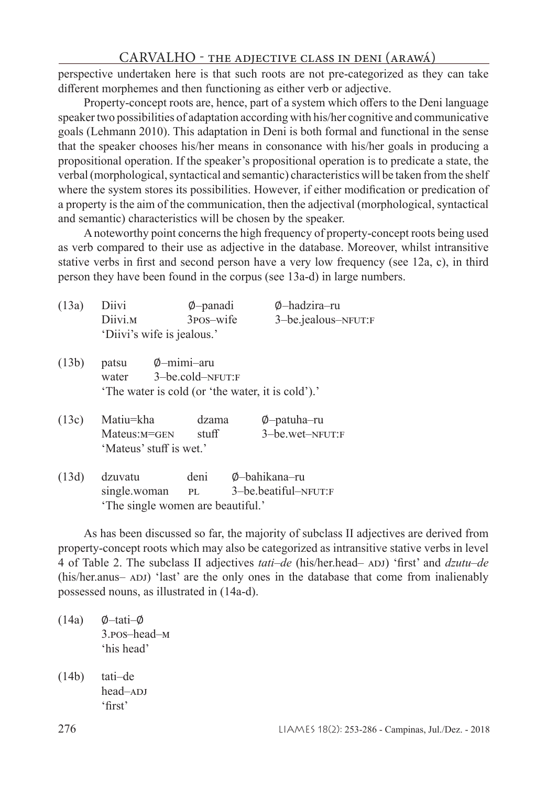perspective undertaken here is that such roots are not pre-categorized as they can take different morphemes and then functioning as either verb or adjective.

Property-concept roots are, hence, part of a system which offers to the Deni language speaker two possibilities of adaptation according with his/her cognitive and communicative goals (Lehmann 2010). This adaptation in Deni is both formal and functional in the sense that the speaker chooses his/her means in consonance with his/her goals in producing a propositional operation. If the speaker's propositional operation is to predicate a state, the verbal (morphological, syntactical and semantic) characteristics will be taken from the shelf where the system stores its possibilities. However, if either modification or predication of a property is the aim of the communication, then the adjectival (morphological, syntactical and semantic) characteristics will be chosen by the speaker.

A noteworthy point concerns the high frequency of property-concept roots being used as verb compared to their use as adjective in the database. Moreover, whilst intransitive stative verbs in first and second person have a very low frequency (see 12a, c), in third person they have been found in the corpus (see 13a-d) in large numbers.

| (13a) | Diivi<br>Diivi. <sub>M</sub>                                        | Ø-panadi<br>$3$ pos-wife                  | Ø-hadzira-ru<br>3-be.jealous-NFUT:F |
|-------|---------------------------------------------------------------------|-------------------------------------------|-------------------------------------|
|       | 'Diivi's wife is jealous.'                                          |                                           |                                     |
| (13b) | patsu<br>water<br>'The water is cold (or 'the water, it is cold').' | $\phi$ -mimi-aru<br>$3 - be.cold-NFUT: F$ |                                     |
| (13c) | Matiu=kha<br>$Mateus: M = GEN$<br>'Mateus' stuff is wet.'           | dzama<br>stuff                            | Ø-patuha-ru<br>3-be.wet-NFUT:F      |
|       |                                                                     |                                           |                                     |

(13d) dzuvatu deni ∅–bahikana–ru pl 3–be.beatiful–NFUT:F 'The single women are beautiful.'

As has been discussed so far, the majority of subclass II adjectives are derived from property-concept roots which may also be categorized as intransitive stative verbs in level 4 of Table 2. The subclass II adjectives *tati*–*de* (his/her.head– adj) 'first' and *dzutu*–*de* (his/her.anus– adj) 'last' are the only ones in the database that come from inalienably possessed nouns, as illustrated in (14a-d).

- (14a) ∅–tati–∅ 3.pos–head–m 'his head'
- (14b) tati–de head-ADJ 'first'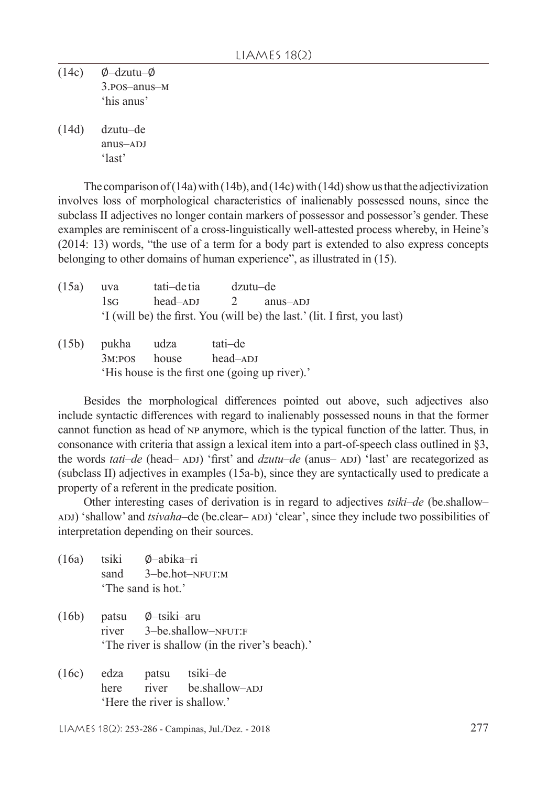(14c) ∅–dzutu–∅ 3.pos–anus–m 'his anus'

(14d) dzutu–de anus-a<sub>DJ</sub> 'last'

The comparison of (14a) with (14b), and (14c) with (14d) show us that the adjectivization involves loss of morphological characteristics of inalienably possessed nouns, since the subclass II adjectives no longer contain markers of possessor and possessor's gender. These examples are reminiscent of a cross-linguistically well-attested process whereby, in Heine's (2014: 13) words, "the use of a term for a body part is extended to also express concepts belonging to other domains of human experience", as illustrated in (15).

| (15a) | uva      | tati-de tia | dzutu–de |                                                                           |
|-------|----------|-------------|----------|---------------------------------------------------------------------------|
|       | $1_{SG}$ | head–ADJ    |          | 2 anus-ADJ                                                                |
|       |          |             |          | 'I (will be) the first. You (will be) the last.' (lit. I first, you last) |
|       |          |             |          |                                                                           |

| (15b) pukha udza | tati-de                                        |
|------------------|------------------------------------------------|
|                  | $3M:POS$ house head-ADJ                        |
|                  | 'His house is the first one (going up river).' |

Besides the morphological differences pointed out above, such adjectives also include syntactic differences with regard to inalienably possessed nouns in that the former cannot function as head of np anymore, which is the typical function of the latter. Thus, in consonance with criteria that assign a lexical item into a part-of-speech class outlined in §3, the words *tati–de* (head– ADJ) 'first' and *dzutu–de* (anus– ADJ) 'last' are recategorized as (subclass II) adjectives in examples (15a-b), since they are syntactically used to predicate a property of a referent in the predicate position.

Other interesting cases of derivation is in regard to adjectives *tsiki*–*de* (be.shallow– ADJ) 'shallow' and *tsivaha*–de (be.clear– ADJ) 'clear', since they include two possibilities of interpretation depending on their sources.

- (16a) tsiki ∅–abika–ri 3–be.hot–nfut:m 'The sand is hot.'
- (16b) patsu Ø–tsiki–aru<br>river 3–be.shallo 3-be.shallow-NFUT:F 'The river is shallow (in the river's beach).'
- (16c) edza patsu tsiki–de here river be.shallow–ADJ 'Here the river is shallow.'

LIAMES 18(2): 253-286 - Campinas, Jul./Dez. - 2018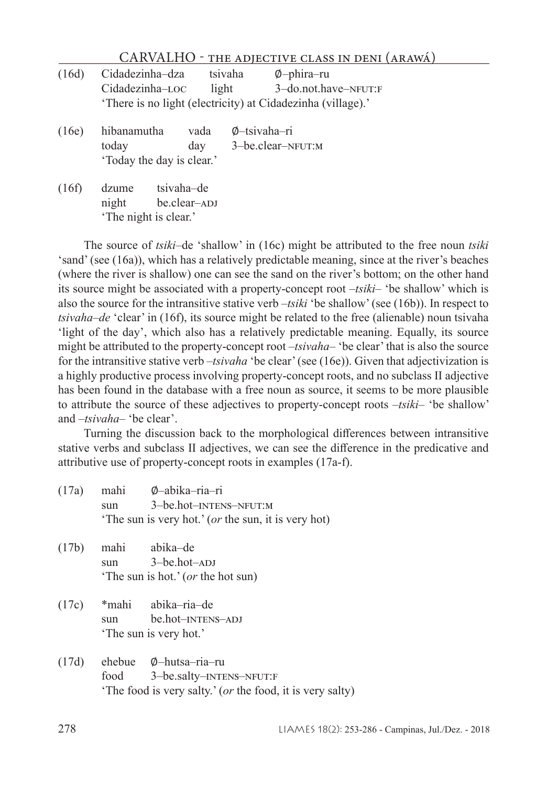|       | CARVALHO                                                                                          |                  |              | - THE ADJECTIVE CLASS IN DENI (ARAWÁ)       |  |
|-------|---------------------------------------------------------------------------------------------------|------------------|--------------|---------------------------------------------|--|
| (16d) | Cidadezinha-dza<br>Cidadezinha-LOC<br>'There is no light (electricity) at Cidadezinha (village).' | tsivaha<br>light |              | $\varphi$ -phira-ru<br>3-do.not.have-NFUT:F |  |
| (16e) | hibanamutha<br>today<br>'Today the day is clear.'                                                 | vada<br>day      | Ø-tsivaha-ri | 3-be.clear-NFUT:M                           |  |
| (16f) | tsivaha-de<br>dzume<br>be.clear-ADJ<br>night<br>'The night is clear.'                             |                  |              |                                             |  |

The source of *tsiki*–de 'shallow' in (16c) might be attributed to the free noun *tsiki* 'sand' (see (16a)), which has a relatively predictable meaning, since at the river's beaches (where the river is shallow) one can see the sand on the river's bottom; on the other hand its source might be associated with a property-concept root –*tsiki*– 'be shallow' which is also the source for the intransitive stative verb –*tsiki* 'be shallow' (see (16b)). In respect to *tsivaha*–*de* 'clear' in (16f), its source might be related to the free (alienable) noun tsivaha 'light of the day', which also has a relatively predictable meaning. Equally, its source might be attributed to the property-concept root –*tsivaha*– 'be clear' that is also the source for the intransitive stative verb –*tsivaha* 'be clear' (see (16e)). Given that adjectivization is a highly productive process involving property-concept roots, and no subclass II adjective has been found in the database with a free noun as source, it seems to be more plausible to attribute the source of these adjectives to property-concept roots –*tsiki*– 'be shallow' and –*tsivaha*– 'be clear'.

Turning the discussion back to the morphological differences between intransitive stative verbs and subclass II adjectives, we can see the difference in the predicative and attributive use of property-concept roots in examples (17a-f).

- (17a) mahi ∅–abika–ria–ri 3–be.hot–intens–nfut:m 'The sun is very hot.' (*or* the sun, it is very hot)
- (17b) mahi abika–de  $sum 3 - be.hot - ADJ$ 'The sun is hot.' (*or* the hot sun)
- (17c) \*mahi abika–ria–de sun be.hot– $INTENS$ –ADJ 'The sun is very hot.'
- (17d) ehebue ∅–hutsa–ria–ru 3–be.salty–INTENS–NFUT:F 'The food is very salty.' (*or* the food, it is very salty)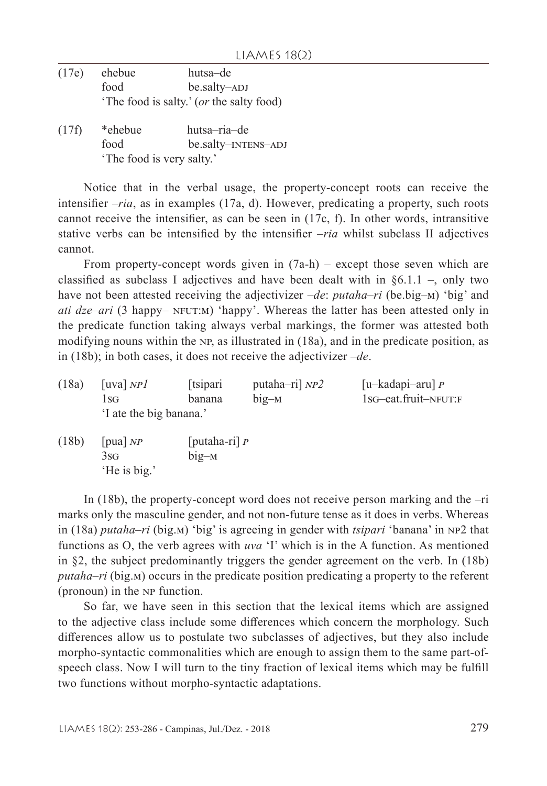- (17e) ehebue hutsa–de food be.salty–ADJ 'The food is salty.' (*or* the salty food)
- (17f) \*ehebue hutsa–ria–de food be.salty–INTENS–ADJ 'The food is very salty.'

Notice that in the verbal usage, the property-concept roots can receive the intensifier –*ria*, as in examples (17a, d). However, predicating a property, such roots cannot receive the intensifier, as can be seen in (17c, f). In other words, intransitive stative verbs can be intensified by the intensifier –*ria* whilst subclass II adjectives cannot.

From property-concept words given in (7a-h) – except those seven which are classified as subclass I adjectives and have been dealt with in  $\S 6.1.1$  –, only two have not been attested receiving the adjectivizer –*de*: *putaha*–*ri* (be.big–m) 'big' and *ati*  $dze–ari$  (3 happy–  $NFUT:M$ ) 'happy'. Whereas the latter has been attested only in the predicate function taking always verbal markings, the former was attested both modifying nouns within the NP, as illustrated in (18a), and in the predicate position, as in (18b); in both cases, it does not receive the adjectivizer –*de*.

| (18a) | [uva] $NP$ ]            | [tsipari] | putaha-ri] $NP2$ | [u-kadapi-aru] $P$             |
|-------|-------------------------|-----------|------------------|--------------------------------|
|       | l SG-                   | banana    | $big-M$          | $1$ s $-$ eat.fruit $-$ NFUT:F |
|       | 'I ate the big banana.' |           |                  |                                |
| (101) |                         |           |                  |                                |

(18b) [pua] *np* [putaha-ri] *p* 3sg big–m 'He is big.'

In (18b), the property-concept word does not receive person marking and the –ri marks only the masculine gender, and not non-future tense as it does in verbs. Whereas in (18a) *putaha*–*ri* (big.m) 'big' is agreeing in gender with *tsipari* 'banana' in np2 that functions as O, the verb agrees with *uva* 'I' which is in the A function. As mentioned in §2, the subject predominantly triggers the gender agreement on the verb. In (18b) *putaha–ri* (big.m) occurs in the predicate position predicating a property to the referent (pronoun) in the np function.

So far, we have seen in this section that the lexical items which are assigned to the adjective class include some differences which concern the morphology. Such differences allow us to postulate two subclasses of adjectives, but they also include morpho-syntactic commonalities which are enough to assign them to the same part-ofspeech class. Now I will turn to the tiny fraction of lexical items which may be fulfill two functions without morpho-syntactic adaptations.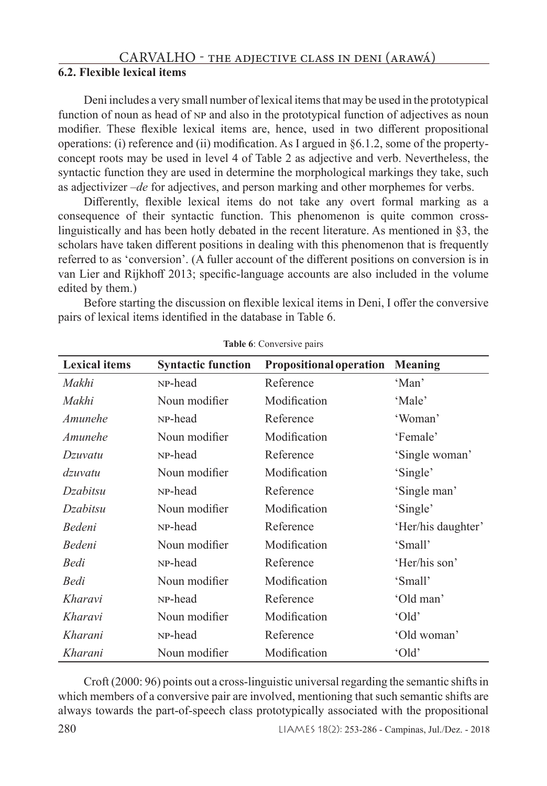# **6.2. Flexible lexical items**

Deni includes a very small number of lexical items that may be used in the prototypical function of noun as head of np and also in the prototypical function of adjectives as noun modifier. These flexible lexical items are, hence, used in two different propositional operations: (i) reference and (ii) modification. As I argued in §6.1.2, some of the propertyconcept roots may be used in level 4 of Table 2 as adjective and verb. Nevertheless, the syntactic function they are used in determine the morphological markings they take, such as adjectivizer –*de* for adjectives, and person marking and other morphemes for verbs.

Differently, flexible lexical items do not take any overt formal marking as a consequence of their syntactic function. This phenomenon is quite common crosslinguistically and has been hotly debated in the recent literature. As mentioned in §3, the scholars have taken different positions in dealing with this phenomenon that is frequently referred to as 'conversion'. (A fuller account of the different positions on conversion is in van Lier and Rijkhoff 2013; specific-language accounts are also included in the volume edited by them.)

Before starting the discussion on flexible lexical items in Deni, I offer the conversive pairs of lexical items identified in the database in Table 6.

| <b>Lexical items</b> | <b>Syntactic function</b> | <b>Propositional operation</b> | Meaning            |
|----------------------|---------------------------|--------------------------------|--------------------|
| Makhi                | NP-head                   | Reference                      | 'Man'              |
| Makhi                | Noun modifier             | Modification                   | 'Male'             |
| Amunehe              | NP-head                   | Reference                      | 'Woman'            |
| Amunehe              | Noun modifier             | Modification                   | 'Female'           |
| Dzuvatu              | NP-head                   | Reference                      | 'Single woman'     |
| dzuvatu              | Noun modifier             | Modification                   | 'Single'           |
| Dzabitsu             | NP-head                   | Reference                      | 'Single man'       |
| Dzabitsu             | Noun modifier             | Modification                   | 'Single'           |
| Bedeni               | NP-head                   | Reference                      | 'Her/his daughter' |
| Bedeni               | Noun modifier             | Modification                   | 'Small'            |
| Bedi                 | NP-head                   | Reference                      | 'Her/his son'      |
| Bedi                 | Noun modifier             | Modification                   | 'Small'            |
| Kharavi              | NP-head                   | Reference                      | 'Old man'          |
| Kharavi              | Noun modifier             | Modification                   | 'Old'              |
| Kharani              | NP-head                   | Reference                      | 'Old woman'        |
| Kharani              | Noun modifier             | Modification                   | 'Old               |

**Table 6**: Conversive pairs

Croft (2000: 96) points out a cross-linguistic universal regarding the semantic shifts in which members of a conversive pair are involved, mentioning that such semantic shifts are always towards the part-of-speech class prototypically associated with the propositional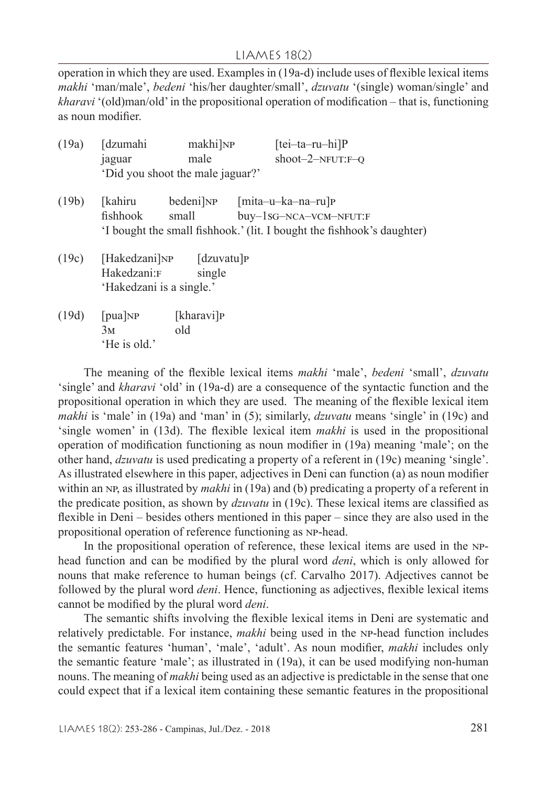#### LIAMES 18(2)

operation in which they are used. Examples in (19a-d) include uses of flexible lexical items *makhi* 'man/male', *bedeni* 'his/her daughter/small', *dzuvatu* '(single) woman/single' and *kharavi* '(old)man/old' in the propositional operation of modification – that is, functioning as noun modifier.

| (19a) | [dzumahi                 | makhi]NP                         | $[tei-ta-ru-hi]P$                                                      |
|-------|--------------------------|----------------------------------|------------------------------------------------------------------------|
|       | jaguar                   | male                             | shoot-2-NFUT: $F-Q$                                                    |
|       |                          | 'Did you shoot the male jaguar?' |                                                                        |
| (19b) | [kahiru                  |                                  | bedeni   NP [mita-u-ka-na-ru   P                                       |
|       | fishhook                 | small                            | buy-1sG-NCA-VCM-NFUT:F                                                 |
|       |                          |                                  | 'I bought the small fishhook.' (lit. I bought the fishhook's daughter) |
|       |                          | $(19c)$ [Hakedzani]NP [dzuvatu]P |                                                                        |
|       | Hakedzani:F              | single                           |                                                                        |
|       | 'Hakedzani is a single.' |                                  |                                                                        |
| (19d) | [pua]NP                  | [kharavi] <sub>P</sub>           |                                                                        |
|       | 3м                       | old                              |                                                                        |
|       | 'He is old.'             |                                  |                                                                        |

The meaning of the flexible lexical items *makhi* 'male', *bedeni* 'small', *dzuvatu* 'single' and *kharavi* 'old' in (19a-d) are a consequence of the syntactic function and the propositional operation in which they are used. The meaning of the flexible lexical item *makhi* is 'male' in (19a) and 'man' in (5); similarly, *dzuvatu* means 'single' in (19c) and 'single women' in (13d). The flexible lexical item *makhi* is used in the propositional operation of modification functioning as noun modifier in (19a) meaning 'male'; on the other hand, *dzuvatu* is used predicating a property of a referent in (19c) meaning 'single'. As illustrated elsewhere in this paper, adjectives in Deni can function (a) as noun modifier within an NP, as illustrated by *makhi* in (19a) and (b) predicating a property of a referent in the predicate position, as shown by *dzuvatu* in (19c). These lexical items are classified as flexible in Deni – besides others mentioned in this paper – since they are also used in the propositional operation of reference functioning as np-head.

In the propositional operation of reference, these lexical items are used in the nphead function and can be modified by the plural word *deni*, which is only allowed for nouns that make reference to human beings (cf. Carvalho 2017). Adjectives cannot be followed by the plural word *deni*. Hence, functioning as adjectives, flexible lexical items cannot be modified by the plural word *deni*.

The semantic shifts involving the flexible lexical items in Deni are systematic and relatively predictable. For instance, *makhi* being used in the np-head function includes the semantic features 'human', 'male', 'adult'. As noun modifier, *makhi* includes only the semantic feature 'male'; as illustrated in (19a), it can be used modifying non-human nouns. The meaning of *makhi* being used as an adjective is predictable in the sense that one could expect that if a lexical item containing these semantic features in the propositional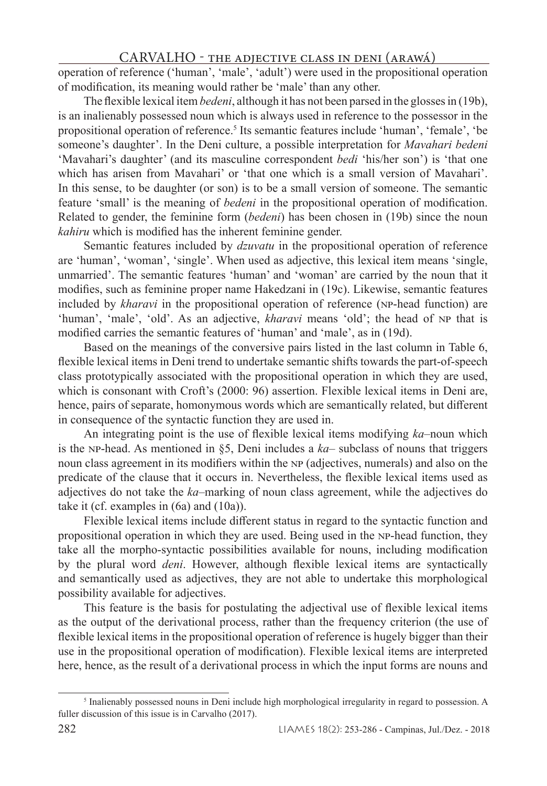operation of reference ('human', 'male', 'adult') were used in the propositional operation of modification, its meaning would rather be 'male' than any other.

The flexible lexical item *bedeni*, although it has not been parsed in the glosses in (19b), is an inalienably possessed noun which is always used in reference to the possessor in the propositional operation of reference.<sup>5</sup> Its semantic features include 'human', 'female', 'be someone's daughter'. In the Deni culture, a possible interpretation for *Mavahari bedeni*  'Mavahari's daughter' (and its masculine correspondent *bedi* 'his/her son') is 'that one which has arisen from Mavahari' or 'that one which is a small version of Mavahari'. In this sense, to be daughter (or son) is to be a small version of someone. The semantic feature 'small' is the meaning of *bedeni* in the propositional operation of modification. Related to gender, the feminine form (*bedeni*) has been chosen in (19b) since the noun *kahiru* which is modified has the inherent feminine gender.

Semantic features included by *dzuvatu* in the propositional operation of reference are 'human', 'woman', 'single'. When used as adjective, this lexical item means 'single, unmarried'. The semantic features 'human' and 'woman' are carried by the noun that it modifies, such as feminine proper name Hakedzani in (19c). Likewise, semantic features included by *kharavi* in the propositional operation of reference (np-head function) are 'human', 'male', 'old'. As an adjective, *kharavi* means 'old'; the head of np that is modified carries the semantic features of 'human' and 'male', as in (19d).

Based on the meanings of the conversive pairs listed in the last column in Table 6, flexible lexical items in Deni trend to undertake semantic shifts towards the part-of-speech class prototypically associated with the propositional operation in which they are used, which is consonant with Croft's (2000: 96) assertion. Flexible lexical items in Deni are, hence, pairs of separate, homonymous words which are semantically related, but different in consequence of the syntactic function they are used in.

An integrating point is the use of flexible lexical items modifying *ka*–noun which is the np-head. As mentioned in §5, Deni includes a *ka*– subclass of nouns that triggers noun class agreement in its modifiers within the np (adjectives, numerals) and also on the predicate of the clause that it occurs in. Nevertheless, the flexible lexical items used as adjectives do not take the *ka*–marking of noun class agreement, while the adjectives do take it (cf. examples in (6a) and (10a)).

Flexible lexical items include different status in regard to the syntactic function and propositional operation in which they are used. Being used in the np-head function, they take all the morpho-syntactic possibilities available for nouns, including modification by the plural word *deni*. However, although flexible lexical items are syntactically and semantically used as adjectives, they are not able to undertake this morphological possibility available for adjectives.

This feature is the basis for postulating the adjectival use of flexible lexical items as the output of the derivational process, rather than the frequency criterion (the use of flexible lexical items in the propositional operation of reference is hugely bigger than their use in the propositional operation of modification). Flexible lexical items are interpreted here, hence, as the result of a derivational process in which the input forms are nouns and

<sup>&</sup>lt;sup>5</sup> Inalienably possessed nouns in Deni include high morphological irregularity in regard to possession. A fuller discussion of this issue is in Carvalho (2017).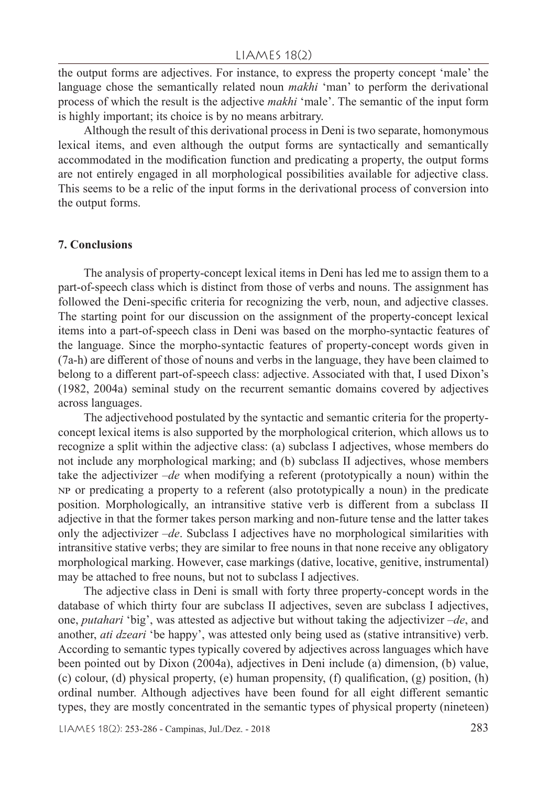the output forms are adjectives. For instance, to express the property concept 'male' the language chose the semantically related noun *makhi* 'man' to perform the derivational process of which the result is the adjective *makhi* 'male'. The semantic of the input form is highly important; its choice is by no means arbitrary.

Although the result of this derivational process in Deni is two separate, homonymous lexical items, and even although the output forms are syntactically and semantically accommodated in the modification function and predicating a property, the output forms are not entirely engaged in all morphological possibilities available for adjective class. This seems to be a relic of the input forms in the derivational process of conversion into the output forms.

#### **7. Conclusions**

The analysis of property-concept lexical items in Deni has led me to assign them to a part-of-speech class which is distinct from those of verbs and nouns. The assignment has followed the Deni-specific criteria for recognizing the verb, noun, and adjective classes. The starting point for our discussion on the assignment of the property-concept lexical items into a part-of-speech class in Deni was based on the morpho-syntactic features of the language. Since the morpho-syntactic features of property-concept words given in (7a-h) are different of those of nouns and verbs in the language, they have been claimed to belong to a different part-of-speech class: adjective. Associated with that, I used Dixon's (1982, 2004a) seminal study on the recurrent semantic domains covered by adjectives across languages.

The adjectivehood postulated by the syntactic and semantic criteria for the propertyconcept lexical items is also supported by the morphological criterion, which allows us to recognize a split within the adjective class: (a) subclass I adjectives, whose members do not include any morphological marking; and (b) subclass II adjectives, whose members take the adjectivizer –*de* when modifying a referent (prototypically a noun) within the np or predicating a property to a referent (also prototypically a noun) in the predicate position. Morphologically, an intransitive stative verb is different from a subclass II adjective in that the former takes person marking and non-future tense and the latter takes only the adjectivizer –*de*. Subclass I adjectives have no morphological similarities with intransitive stative verbs; they are similar to free nouns in that none receive any obligatory morphological marking. However, case markings (dative, locative, genitive, instrumental) may be attached to free nouns, but not to subclass I adjectives.

The adjective class in Deni is small with forty three property-concept words in the database of which thirty four are subclass II adjectives, seven are subclass I adjectives, one, *putahari* 'big', was attested as adjective but without taking the adjectivizer –*de*, and another, *ati dzeari* 'be happy', was attested only being used as (stative intransitive) verb. According to semantic types typically covered by adjectives across languages which have been pointed out by Dixon (2004a), adjectives in Deni include (a) dimension, (b) value, (c) colour, (d) physical property, (e) human propensity, (f) qualification, (g) position,  $(h)$ ordinal number. Although adjectives have been found for all eight different semantic types, they are mostly concentrated in the semantic types of physical property (nineteen)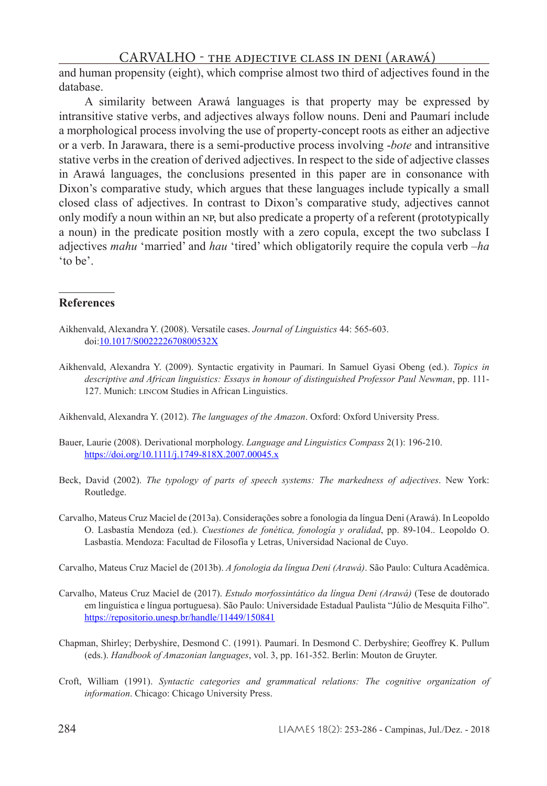and human propensity (eight), which comprise almost two third of adjectives found in the database.

A similarity between Arawá languages is that property may be expressed by intransitive stative verbs, and adjectives always follow nouns. Deni and Paumarí include a morphological process involving the use of property-concept roots as either an adjective or a verb. In Jarawara, there is a semi-productive process involving -*bote* and intransitive stative verbs in the creation of derived adjectives. In respect to the side of adjective classes in Arawá languages, the conclusions presented in this paper are in consonance with Dixon's comparative study, which argues that these languages include typically a small closed class of adjectives. In contrast to Dixon's comparative study, adjectives cannot only modify a noun within an NP, but also predicate a property of a referent (prototypically a noun) in the predicate position mostly with a zero copula, except the two subclass I adjectives *mahu* 'married' and *hau* 'tired' which obligatorily require the copula verb –*ha* 'to be'.

### **References**

- Aikhenvald, Alexandra Y. (2008). Versatile cases. *Journal of Linguistics* 44: 565-603. doi:10.1017/S002222670800532X
- Aikhenvald, Alexandra Y. (2009). Syntactic ergativity in Paumari. In Samuel Gyasi Obeng (ed.). *Topics in descriptive and African linguistics: Essays in honour of distinguished Professor Paul Newman*, pp. 111- 127. Munich: LINCOM Studies in African Linguistics.

Aikhenvald, Alexandra Y. (2012). *The languages of the Amazon*. Oxford: Oxford University Press.

- Bauer, Laurie (2008). Derivational morphology. *Language and Linguistics Compass* 2(1): 196-210. https://doi.org/10.1111/j.1749-818X.2007.00045.x
- Beck, David (2002). *The typology of parts of speech systems: The markedness of adjectives*. New York: Routledge.
- Carvalho, Mateus Cruz Maciel de (2013a). Considerações sobre a fonologia da língua Deni (Arawá). In Leopoldo O. Lasbastía Mendoza (ed.). *Cuestiones de fonética, fonología y oralidad*, pp. 89-104.. Leopoldo O. Lasbastía. Mendoza: Facultad de Filosofía y Letras, Universidad Nacional de Cuyo.
- Carvalho, Mateus Cruz Maciel de (2013b). *A fonologia da língua Deni (Arawá)*. São Paulo: Cultura Acadêmica.
- Carvalho, Mateus Cruz Maciel de (2017). *Estudo morfossintático da língua Deni (Arawá)* (Tese de doutorado em linguística e língua portuguesa). São Paulo: Universidade Estadual Paulista "Júlio de Mesquita Filho". https://repositorio.unesp.br/handle/11449/150841
- Chapman, Shirley; Derbyshire, Desmond C. (1991). Paumarí. In Desmond C. Derbyshire; Geoffrey K. Pullum (eds.). *Handbook of Amazonian languages*, vol. 3, pp. 161-352. Berlin: Mouton de Gruyter.
- Croft, William (1991). *Syntactic categories and grammatical relations: The cognitive organization of information*. Chicago: Chicago University Press.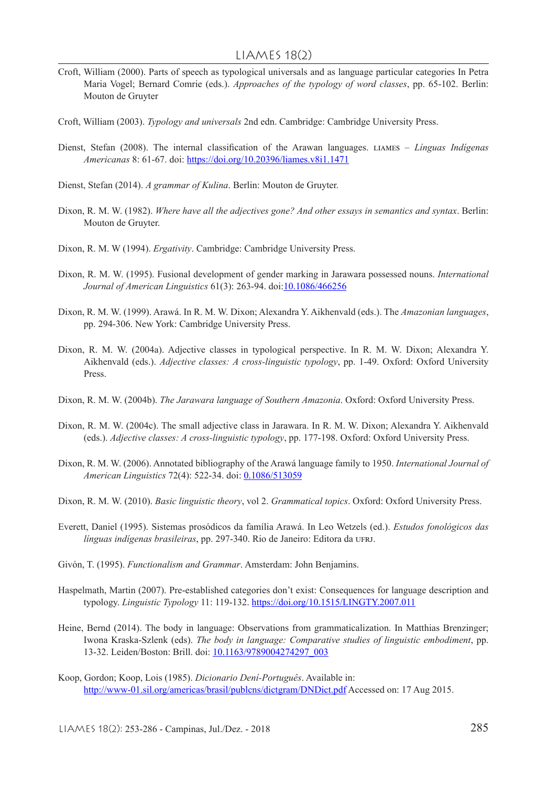- Croft, William (2000). Parts of speech as typological universals and as language particular categories In Petra Maria Vogel; Bernard Comrie (eds.). *Approaches of the typology of word classes*, pp. 65-102. Berlin: Mouton de Gruyter
- Croft, William (2003). *Typology and universals* 2nd edn. Cambridge: Cambridge University Press.
- Dienst, Stefan (2008). The internal classification of the Arawan languages. liames *Línguas Indígenas Americanas* 8: 61-67. doi: https://doi.org/10.20396/liames.v8i1.1471
- Dienst, Stefan (2014). *A grammar of Kulina*. Berlin: Mouton de Gruyter.
- Dixon, R. M. W. (1982). *Where have all the adjectives gone? And other essays in semantics and syntax*. Berlin: Mouton de Gruyter.
- Dixon, R. M. W (1994). *Ergativity*. Cambridge: Cambridge University Press.
- Dixon, R. M. W. (1995). Fusional development of gender marking in Jarawara possessed nouns. *International Journal of American Linguistics* 61(3): 263-94. doi:10.1086/466256
- Dixon, R. M. W. (1999). Arawá. In R. M. W. Dixon; Alexandra Y. Aikhenvald (eds.). The *Amazonian languages*, pp. 294-306. New York: Cambridge University Press.
- Dixon, R. M. W. (2004a). Adjective classes in typological perspective. In R. M. W. Dixon; Alexandra Y. Aikhenvald (eds.). *Adjective classes: A cross-linguistic typology*, pp. 1-49. Oxford: Oxford University Press.
- Dixon, R. M. W. (2004b). *The Jarawara language of Southern Amazonia*. Oxford: Oxford University Press.
- Dixon, R. M. W. (2004c). The small adjective class in Jarawara. In R. M. W. Dixon; Alexandra Y. Aikhenvald (eds.). *Adjective classes: A cross-linguistic typology*, pp. 177-198. Oxford: Oxford University Press.
- Dixon, R. M. W. (2006). Annotated bibliography of the Arawá language family to 1950. *International Journal of American Linguistics* 72(4): 522-34. doi: 0.1086/513059
- Dixon, R. M. W. (2010). *Basic linguistic theory*, vol 2. *Grammatical topics*. Oxford: Oxford University Press.
- Everett, Daniel (1995). Sistemas prosódicos da família Arawá. In Leo Wetzels (ed.). *Estudos fonológicos das línguas indígenas brasileiras*, pp. 297-340. Rio de Janeiro: Editora da UFRJ.
- Givón, T. (1995). *Functionalism and Grammar*. Amsterdam: John Benjamins.
- Haspelmath, Martin (2007). Pre-established categories don't exist: Consequences for language description and typology. *Linguistic Typology* 11: 119-132. https://doi.org/10.1515/LINGTY.2007.011
- Heine, Bernd (2014). The body in language: Observations from grammaticalization. In Matthias Brenzinger; Iwona Kraska-Szlenk (eds). *The body in language: Comparative studies of linguistic embodiment*, pp. 13-32. Leiden/Boston: Brill. doi: 10.1163/9789004274297\_003
- Koop, Gordon; Koop, Lois (1985). *Dicionario Dení-Português*. Available in: http://www-01.sil.org/americas/brasil/publens/dictgram/DNDict.pdf Accessed on: 17 Aug 2015.